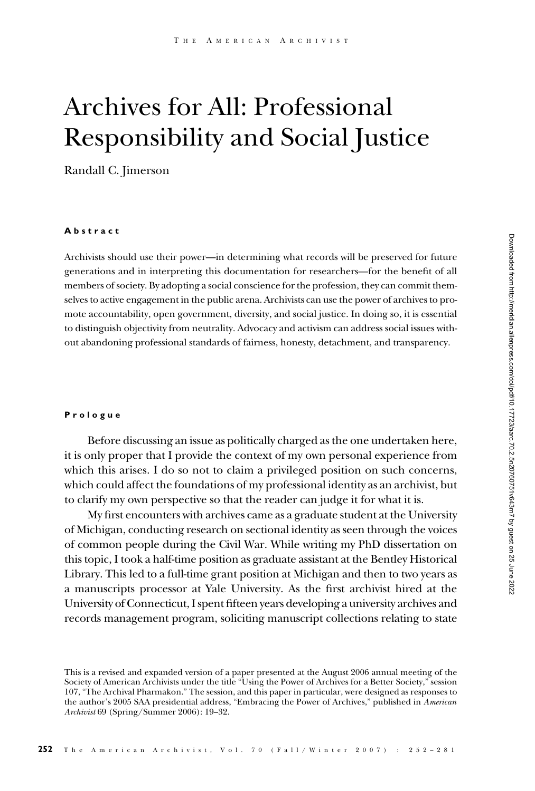# Archives for All: Professional Responsibility and Social Justice

Randall C. Jimerson

#### **Abstract**

Archivists should use their power—in determining what records will be preserved for future generations and in interpreting this documentation for researchers—for the benefit of all members of society. By adopting a social conscience for the profession, they can commit themselves to active engagement in the public arena. Archivists can use the power of archives to promote accountability, open government, diversity, and social justice. In doing so, it is essential to distinguish objectivity from neutrality. Advocacy and activism can address social issues without abandoning professional standards of fairness, honesty, detachment, and transparency.

#### **Prologue**

Before discussing an issue as politically charged as the one undertaken here, it is only proper that I provide the context of my own personal experience from which this arises. I do so not to claim a privileged position on such concerns, which could affect the foundations of my professional identity as an archivist, but to clarify my own perspective so that the reader can judge it for what it is.

My first encounters with archives came as a graduate student at the University of Michigan, conducting research on sectional identity as seen through the voices of common people during the Civil War. While writing my PhD dissertation on this topic, I took a half-time position as graduate assistant at the Bentley Historical Library. This led to a full-time grant position at Michigan and then to two years as a manuscripts processor at Yale University. As the first archivist hired at the University of Connecticut, I spent fifteen years developing a university archives and records management program, soliciting manuscript collections relating to state

This is a revised and expanded version of a paper presented at the August 2006 annual meeting of the Society of American Archivists under the title "Using the Power of Archives for a Better Society," session 107, "The Archival Pharmakon." The session, and this paper in particular, were designed as responses to the author's 2005 SAA presidential address, "Embracing the Power of Archives," published in *American Archivist* 69 (Spring/Summer 2006): 19–32.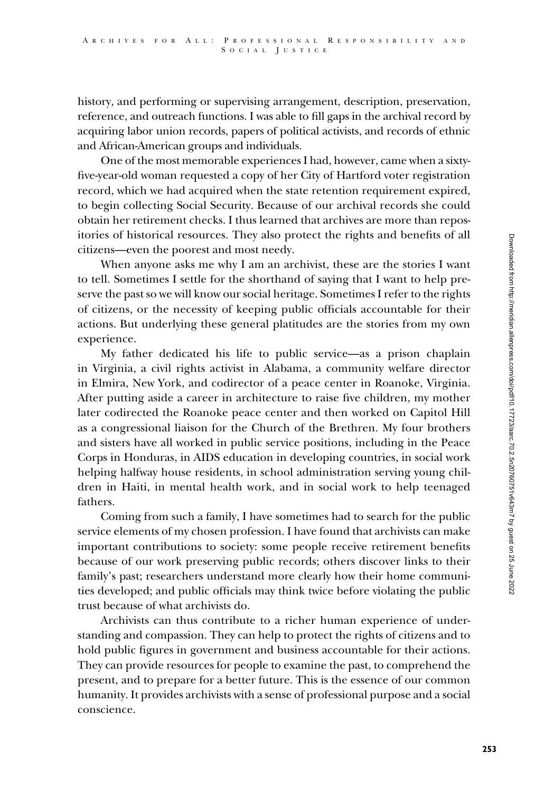history, and performing or supervising arrangement, description, preservation, reference, and outreach functions. I was able to fill gaps in the archival record by acquiring labor union records, papers of political activists, and records of ethnic and African-American groups and individuals.

One of the most memorable experiences I had, however, came when a sixtyfive-year-old woman requested a copy of her City of Hartford voter registration record, which we had acquired when the state retention requirement expired, to begin collecting Social Security. Because of our archival records she could obtain her retirement checks. I thus learned that archives are more than repositories of historical resources. They also protect the rights and benefits of all citizens—even the poorest and most needy.

When anyone asks me why I am an archivist, these are the stories I want to tell. Sometimes I settle for the shorthand of saying that I want to help preserve the past so we will know our social heritage. Sometimes I refer to the rights of citizens, or the necessity of keeping public officials accountable for their actions. But underlying these general platitudes are the stories from my own experience.

My father dedicated his life to public service—as a prison chaplain in Virginia, a civil rights activist in Alabama, a community welfare director in Elmira, New York, and codirector of a peace center in Roanoke, Virginia. After putting aside a career in architecture to raise five children, my mother later codirected the Roanoke peace center and then worked on Capitol Hill as a congressional liaison for the Church of the Brethren. My four brothers and sisters have all worked in public service positions, including in the Peace Corps in Honduras, in AIDS education in developing countries, in social work helping halfway house residents, in school administration serving young children in Haiti, in mental health work, and in social work to help teenaged fathers.

Coming from such a family, I have sometimes had to search for the public service elements of my chosen profession. I have found that archivists can make important contributions to society: some people receive retirement benefits because of our work preserving public records; others discover links to their family's past; researchers understand more clearly how their home communities developed; and public officials may think twice before violating the public trust because of what archivists do.

Archivists can thus contribute to a richer human experience of understanding and compassion. They can help to protect the rights of citizens and to hold public figures in government and business accountable for their actions. They can provide resources for people to examine the past, to comprehend the present, and to prepare for a better future. This is the essence of our common humanity. It provides archivists with a sense of professional purpose and a social conscience.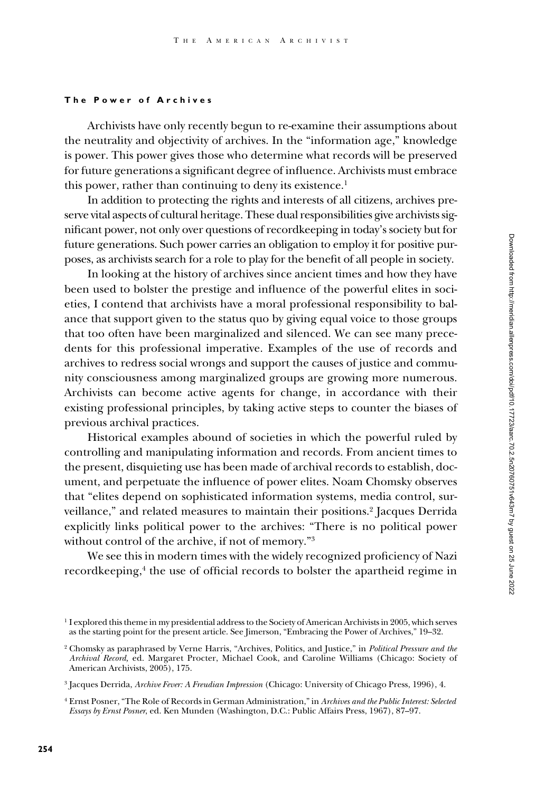#### **The Power of Archives**

Archivists have only recently begun to re-examine their assumptions about the neutrality and objectivity of archives. In the "information age," knowledge is power. This power gives those who determine what records will be preserved for future generations a significant degree of influence. Archivists must embrace this power, rather than continuing to deny its existence.<sup>1</sup>

In addition to protecting the rights and interests of all citizens, archives preserve vital aspects of cultural heritage. These dual responsibilities give archivists significant power, not only over questions of recordkeeping in today's society but for future generations. Such power carries an obligation to employ it for positive purposes, as archivists search for a role to play for the benefit of all people in society.

In looking at the history of archives since ancient times and how they have been used to bolster the prestige and influence of the powerful elites in societies, I contend that archivists have a moral professional responsibility to balance that support given to the status quo by giving equal voice to those groups that too often have been marginalized and silenced. We can see many precedents for this professional imperative. Examples of the use of records and archives to redress social wrongs and support the causes of justice and community consciousness among marginalized groups are growing more numerous. Archivists can become active agents for change, in accordance with their existing professional principles, by taking active steps to counter the biases of previous archival practices.

Historical examples abound of societies in which the powerful ruled by controlling and manipulating information and records. From ancient times to the present, disquieting use has been made of archival records to establish, document, and perpetuate the influence of power elites. Noam Chomsky observes that "elites depend on sophisticated information systems, media control, surveillance," and related measures to maintain their positions.<sup>2</sup> Jacques Derrida explicitly links political power to the archives: "There is no political power without control of the archive, if not of memory."3

We see this in modern times with the widely recognized proficiency of Nazi recordkeeping,<sup>4</sup> the use of official records to bolster the apartheid regime in

<sup>1</sup> I explored this theme in my presidential address to the Society of American Archivists in 2005, which serves as the starting point for the present article. See Jimerson, "Embracing the Power of Archives," 19–32.

<sup>2</sup> Chomsky as paraphrased by Verne Harris, "Archives, Politics, and Justice," in *Political Pressure and the Archival Record,* ed. Margaret Procter, Michael Cook, and Caroline Williams (Chicago: Society of American Archivists, 2005), 175.

<sup>3</sup> Jacques Derrida, *Archive Fever: A Freudian Impression* (Chicago: University of Chicago Press, 1996), 4.

<sup>4</sup> Ernst Posner, "The Role of Records in German Administration," in *Archives and the Public Interest: Selected Essays by Ernst Posner*, ed. Ken Munden (Washington, D.C.: Public Affairs Press, 1967), 87–97.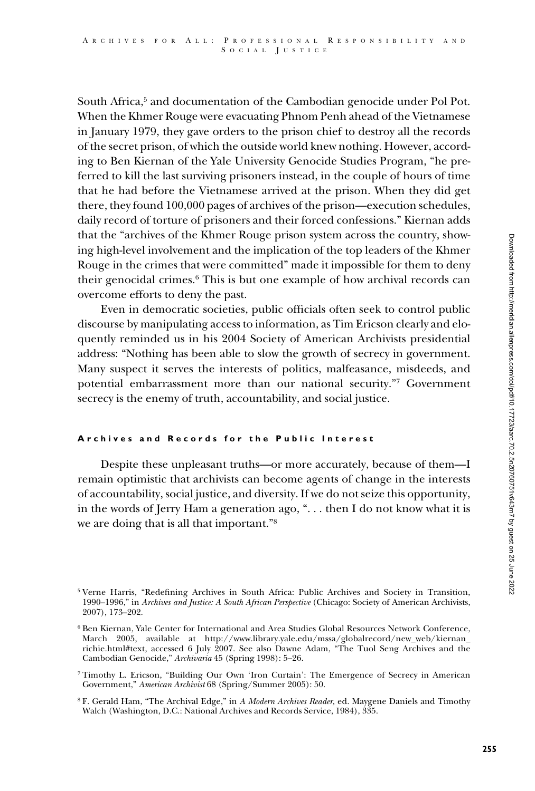South Africa,<sup>5</sup> and documentation of the Cambodian genocide under Pol Pot. When the Khmer Rouge were evacuating Phnom Penh ahead of the Vietnamese in January 1979, they gave orders to the prison chief to destroy all the records of the secret prison, of which the outside world knew nothing. However, according to Ben Kiernan of the Yale University Genocide Studies Program, "he preferred to kill the last surviving prisoners instead, in the couple of hours of time that he had before the Vietnamese arrived at the prison. When they did get there, they found 100,000 pages of archives of the prison—execution schedules, daily record of torture of prisoners and their forced confessions." Kiernan adds that the "archives of the Khmer Rouge prison system across the country, showing high-level involvement and the implication of the top leaders of the Khmer Rouge in the crimes that were committed" made it impossible for them to deny their genocidal crimes.6 This is but one example of how archival records can overcome efforts to deny the past.

Even in democratic societies, public officials often seek to control public discourse by manipulating access to information, as Tim Ericson clearly and eloquently reminded us in his 2004 Society of American Archivists presidential address: "Nothing has been able to slow the growth of secrecy in government. Many suspect it serves the interests of politics, malfeasance, misdeeds, and potential embarrassment more than our national security."7 Government secrecy is the enemy of truth, accountability, and social justice.

# **Archives and Records for the Public Interest**

Despite these unpleasant truths—or more accurately, because of them—I remain optimistic that archivists can become agents of change in the interests of accountability, social justice, and diversity. If we do not seize this opportunity, in the words of Jerry Ham a generation ago, ". . . then I do not know what it is we are doing that is all that important."8

<sup>8</sup> F. Gerald Ham, "The Archival Edge," in *A Modern Archives Reader,* ed. Maygene Daniels and Timothy Walch (Washington, D.C.: National Archives and Records Service, 1984), 335.

<sup>5</sup> Verne Harris, "Redefining Archives in South Africa: Public Archives and Society in Transition, 1990–1996," in *Archives and Justice: A South African Perspective* (Chicago: Society of American Archivists, 2007), 173–202.

<sup>6</sup> Ben Kiernan, Yale Center for International and Area Studies Global Resources Network Conference, March 2005, available at http://www.library.yale.edu/mssa/globalrecord/new\_web/kiernan\_ richie.html#text, accessed 6 July 2007. See also Dawne Adam, "The Tuol Seng Archives and the Cambodian Genocide," *Archivaria* 45 (Spring 1998): 5–26.

<sup>7</sup> Timothy L. Ericson, "Building Our Own 'Iron Curtain': The Emergence of Secrecy in American Government," *American Archivist* 68 (Spring/Summer 2005): 50.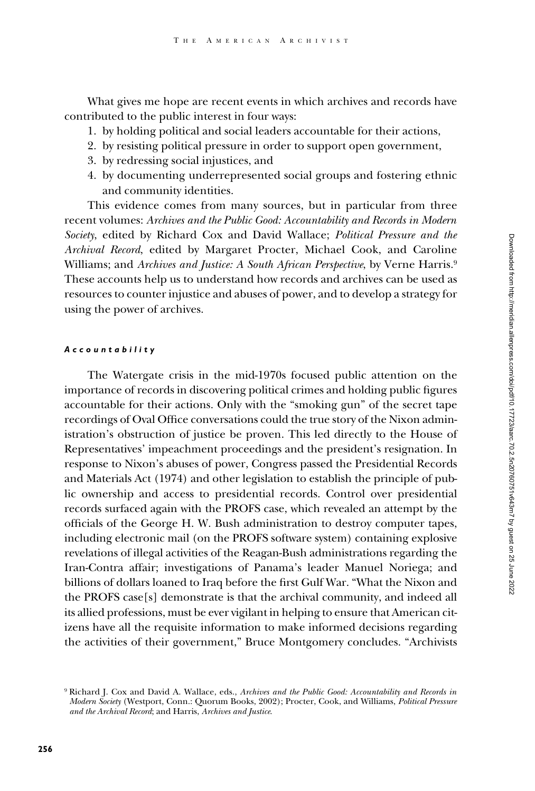What gives me hope are recent events in which archives and records have contributed to the public interest in four ways:

- 1. by holding political and social leaders accountable for their actions,
- 2. by resisting political pressure in order to support open government,
- 3. by redressing social injustices, and
- 4. by documenting underrepresented social groups and fostering ethnic and community identities.

This evidence comes from many sources, but in particular from three recent volumes: *Archives and the Public Good: Accountability and Records in Modern Society*, edited by Richard Cox and David Wallace; *Political Pressure and the Archival Record*, edited by Margaret Procter, Michael Cook, and Caroline Williams; and *Archives and Justice: A South African Perspective*, by Verne Harris.9 These accounts help us to understand how records and archives can be used as resources to counter injustice and abuses of power, and to develop a strategy for using the power of archives.

#### *Accountability*

The Watergate crisis in the mid-1970s focused public attention on the importance of records in discovering political crimes and holding public figures accountable for their actions. Only with the "smoking gun" of the secret tape recordings of Oval Office conversations could the true story of the Nixon administration's obstruction of justice be proven. This led directly to the House of Representatives' impeachment proceedings and the president's resignation. In response to Nixon's abuses of power, Congress passed the Presidential Records and Materials Act (1974) and other legislation to establish the principle of public ownership and access to presidential records. Control over presidential records surfaced again with the PROFS case, which revealed an attempt by the officials of the George H. W. Bush administration to destroy computer tapes, including electronic mail (on the PROFS software system) containing explosive revelations of illegal activities of the Reagan-Bush administrations regarding the Iran-Contra affair; investigations of Panama's leader Manuel Noriega; and billions of dollars loaned to Iraq before the first Gulf War. "What the Nixon and the PROFS case[s] demonstrate is that the archival community, and indeed all its allied professions, must be ever vigilant in helping to ensure that American citizens have all the requisite information to make informed decisions regarding the activities of their government," Bruce Montgomery concludes. "Archivists

<sup>9</sup> Richard J. Cox and David A. Wallace, eds., *Archives and the Public Good: Accountability and Records in Modern Society* (Westport, Conn.: Quorum Books, 2002); Procter, Cook, and Williams, *Political Pressure and the Archival Record*; and Harris, *Archives and Justice*.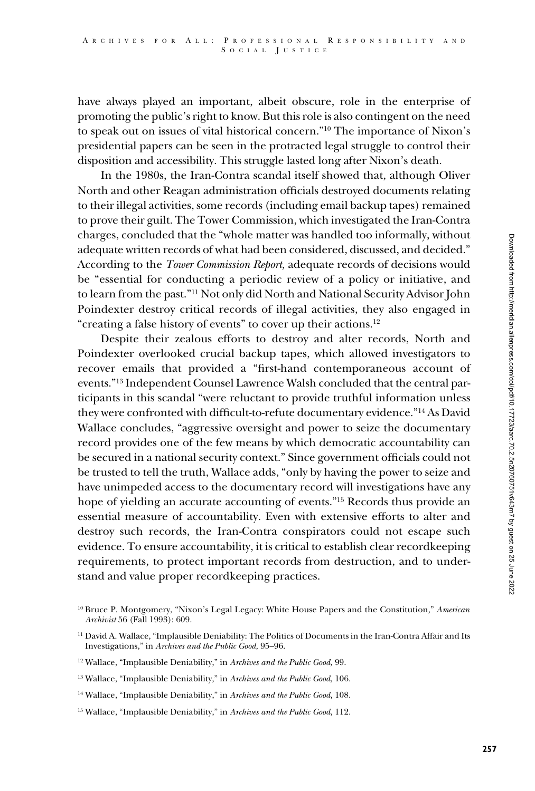have always played an important, albeit obscure, role in the enterprise of promoting the public's right to know. But this role is also contingent on the need to speak out on issues of vital historical concern."10 The importance of Nixon's presidential papers can be seen in the protracted legal struggle to control their disposition and accessibility. This struggle lasted long after Nixon's death.

In the 1980s, the Iran-Contra scandal itself showed that, although Oliver North and other Reagan administration officials destroyed documents relating to their illegal activities, some records (including email backup tapes) remained to prove their guilt. The Tower Commission, which investigated the Iran-Contra charges, concluded that the "whole matter was handled too informally, without adequate written records of what had been considered, discussed, and decided." According to the *Tower Commission Report,* adequate records of decisions would be "essential for conducting a periodic review of a policy or initiative, and to learn from the past."11 Not only did North and National Security Advisor John Poindexter destroy critical records of illegal activities, they also engaged in "creating a false history of events" to cover up their actions.12

Despite their zealous efforts to destroy and alter records, North and Poindexter overlooked crucial backup tapes, which allowed investigators to recover emails that provided a "first-hand contemporaneous account of events."13 Independent Counsel Lawrence Walsh concluded that the central participants in this scandal "were reluctant to provide truthful information unless they were confronted with difficult-to-refute documentary evidence."14 As David Wallace concludes, "aggressive oversight and power to seize the documentary record provides one of the few means by which democratic accountability can be secured in a national security context." Since government officials could not be trusted to tell the truth, Wallace adds, "only by having the power to seize and have unimpeded access to the documentary record will investigations have any hope of yielding an accurate accounting of events."15 Records thus provide an essential measure of accountability. Even with extensive efforts to alter and destroy such records, the Iran-Contra conspirators could not escape such evidence. To ensure accountability, it is critical to establish clear recordkeeping requirements, to protect important records from destruction, and to understand and value proper recordkeeping practices.

<sup>10</sup> Bruce P. Montgomery, "Nixon's Legal Legacy: White House Papers and the Constitution," *American Archivist* 56 (Fall 1993): 609.

<sup>11</sup> David A. Wallace, "Implausible Deniability: The Politics of Documents in the Iran-Contra Affair and Its Investigations," in *Archives and the Public Good,* 95–96.

<sup>12</sup> Wallace, "Implausible Deniability," in *Archives and the Public Good,* 99.

<sup>13</sup> Wallace, "Implausible Deniability," in *Archives and the Public Good,* 106.

<sup>14</sup> Wallace, "Implausible Deniability," in *Archives and the Public Good,* 108.

<sup>15</sup> Wallace, "Implausible Deniability," in *Archives and the Public Good,* 112.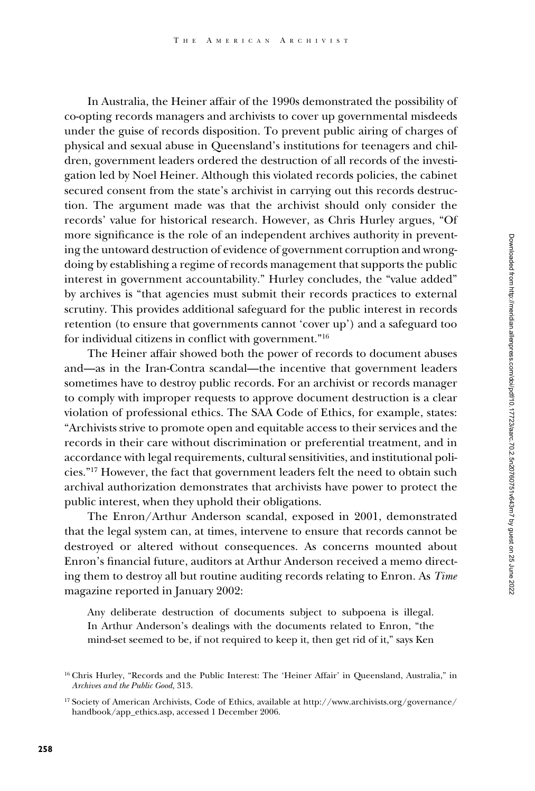In Australia, the Heiner affair of the 1990s demonstrated the possibility of co-opting records managers and archivists to cover up governmental misdeeds under the guise of records disposition. To prevent public airing of charges of physical and sexual abuse in Queensland's institutions for teenagers and children, government leaders ordered the destruction of all records of the investigation led by Noel Heiner. Although this violated records policies, the cabinet secured consent from the state's archivist in carrying out this records destruction. The argument made was that the archivist should only consider the records' value for historical research. However, as Chris Hurley argues, "Of more significance is the role of an independent archives authority in preventing the untoward destruction of evidence of government corruption and wrongdoing by establishing a regime of records management that supports the public interest in government accountability." Hurley concludes, the "value added" by archives is "that agencies must submit their records practices to external scrutiny. This provides additional safeguard for the public interest in records retention (to ensure that governments cannot 'cover up') and a safeguard too for individual citizens in conflict with government."16

The Heiner affair showed both the power of records to document abuses and—as in the Iran-Contra scandal—the incentive that government leaders sometimes have to destroy public records. For an archivist or records manager to comply with improper requests to approve document destruction is a clear violation of professional ethics. The SAA Code of Ethics, for example, states: "Archivists strive to promote open and equitable access to their services and the records in their care without discrimination or preferential treatment, and in accordance with legal requirements, cultural sensitivities, and institutional policies."17 However, the fact that government leaders felt the need to obtain such archival authorization demonstrates that archivists have power to protect the public interest, when they uphold their obligations.

The Enron/Arthur Anderson scandal, exposed in 2001, demonstrated that the legal system can, at times, intervene to ensure that records cannot be destroyed or altered without consequences. As concerns mounted about Enron's financial future, auditors at Arthur Anderson received a memo directing them to destroy all but routine auditing records relating to Enron. As *Time* magazine reported in January 2002:

Any deliberate destruction of documents subject to subpoena is illegal. In Arthur Anderson's dealings with the documents related to Enron, "the mind-set seemed to be, if not required to keep it, then get rid of it," says Ken

<sup>&</sup>lt;sup>16</sup> Chris Hurley, "Records and the Public Interest: The 'Heiner Affair' in Oueensland, Australia," in *Archives and the Public Good,* 313.

<sup>17</sup> Society of American Archivists, Code of Ethics, available at http://www.archivists.org/governance/ handbook/app\_ethics.asp, accessed 1 December 2006.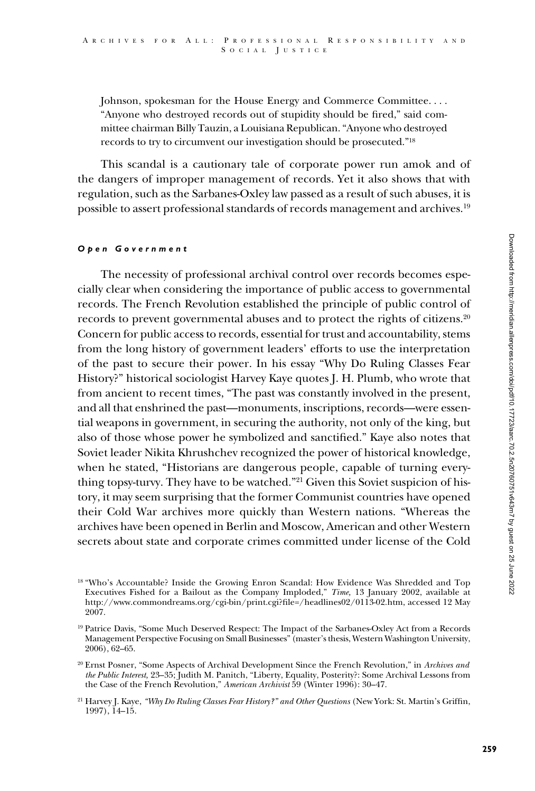Johnson, spokesman for the House Energy and Commerce Committee. . . . "Anyone who destroyed records out of stupidity should be fired," said committee chairman Billy Tauzin, a Louisiana Republican. "Anyone who destroyed records to try to circumvent our investigation should be prosecuted."18

This scandal is a cautionary tale of corporate power run amok and of the dangers of improper management of records. Yet it also shows that with regulation, such as the Sarbanes-Oxley law passed as a result of such abuses, it is possible to assert professional standards of records management and archives.19

# *Open Government*

The necessity of professional archival control over records becomes especially clear when considering the importance of public access to governmental records. The French Revolution established the principle of public control of records to prevent governmental abuses and to protect the rights of citizens.20 Concern for public access to records, essential for trust and accountability, stems from the long history of government leaders' efforts to use the interpretation of the past to secure their power. In his essay "Why Do Ruling Classes Fear History?" historical sociologist Harvey Kaye quotes J. H. Plumb, who wrote that from ancient to recent times, "The past was constantly involved in the present, and all that enshrined the past—monuments, inscriptions, records—were essential weapons in government, in securing the authority, not only of the king, but also of those whose power he symbolized and sanctified." Kaye also notes that Soviet leader Nikita Khrushchev recognized the power of historical knowledge, when he stated, "Historians are dangerous people, capable of turning everything topsy-turvy. They have to be watched."21 Given this Soviet suspicion of history, it may seem surprising that the former Communist countries have opened their Cold War archives more quickly than Western nations. "Whereas the archives have been opened in Berlin and Moscow, American and other Western secrets about state and corporate crimes committed under license of the Cold

<sup>18</sup> "Who's Accountable? Inside the Growing Enron Scandal: How Evidence Was Shredded and Top Executives Fished for a Bailout as the Company Imploded," *Time,* 13 January 2002, available at http://www.commondreams.org/cgi-bin/print.cgi?file=/headlines02/0113-02.htm, accessed 12 May 2007.

<sup>&</sup>lt;sup>19</sup> Patrice Davis, "Some Much Deserved Respect: The Impact of the Sarbanes-Oxley Act from a Records Management Perspective Focusing on Small Businesses" (master's thesis, Western Washington University, 2006), 62–65.

<sup>20</sup> Ernst Posner, "Some Aspects of Archival Development Since the French Revolution," in *Archives and the Public Interest,* 23–35; Judith M. Panitch, "Liberty, Equality, Posterity?: Some Archival Lessons from the Case of the French Revolution," *American Archivist* 59 (Winter 1996): 30–47.

<sup>21</sup> Harvey J. Kaye, *"Why Do Ruling Classes Fear History?" and Other Questions* (New York: St. Martin's Griffin, 1997), 14–15.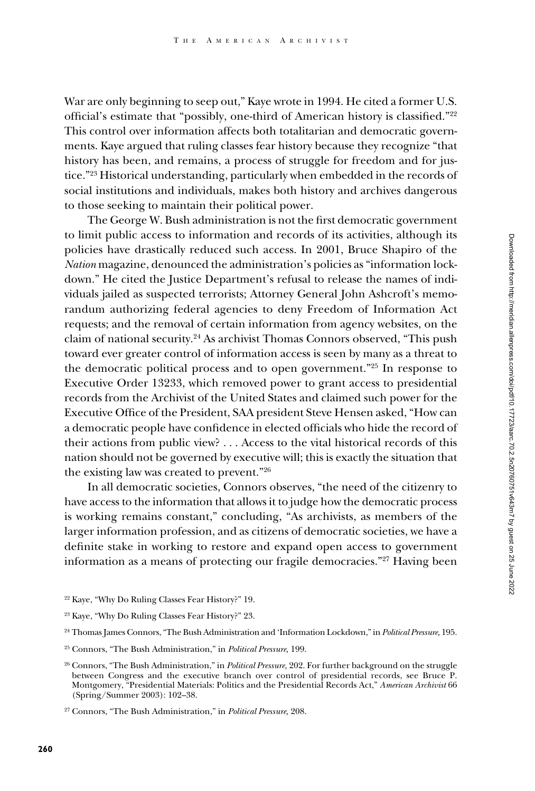War are only beginning to seep out," Kaye wrote in 1994. He cited a former U.S. official's estimate that "possibly, one-third of American history is classified."22 This control over information affects both totalitarian and democratic governments. Kaye argued that ruling classes fear history because they recognize "that history has been, and remains, a process of struggle for freedom and for justice."23 Historical understanding, particularly when embedded in the records of social institutions and individuals, makes both history and archives dangerous to those seeking to maintain their political power.

The George W. Bush administration is not the first democratic government to limit public access to information and records of its activities, although its policies have drastically reduced such access. In 2001, Bruce Shapiro of the *Nation* magazine, denounced the administration's policies as "information lockdown." He cited the Justice Department's refusal to release the names of individuals jailed as suspected terrorists; Attorney General John Ashcroft's memorandum authorizing federal agencies to deny Freedom of Information Act requests; and the removal of certain information from agency websites, on the claim of national security.24 As archivist Thomas Connors observed, "This push toward ever greater control of information access is seen by many as a threat to the democratic political process and to open government."25 In response to Executive Order 13233, which removed power to grant access to presidential records from the Archivist of the United States and claimed such power for the Executive Office of the President, SAA president Steve Hensen asked, "How can a democratic people have confidence in elected officials who hide the record of their actions from public view? . . . Access to the vital historical records of this nation should not be governed by executive will; this is exactly the situation that the existing law was created to prevent."26

In all democratic societies, Connors observes, "the need of the citizenry to have access to the information that allows it to judge how the democratic process is working remains constant," concluding, "As archivists, as members of the larger information profession, and as citizens of democratic societies, we have a definite stake in working to restore and expand open access to government information as a means of protecting our fragile democracies."27 Having been

<sup>22</sup> Kaye, "Why Do Ruling Classes Fear History?" 19.

<sup>23</sup> Kaye, "Why Do Ruling Classes Fear History?" 23.

<sup>24</sup> Thomas James Connors, "The Bush Administration and 'Information Lockdown," in *Political Pressure,* 195.

<sup>25</sup> Connors, "The Bush Administration," in *Political Pressure,* 199.

<sup>26</sup> Connors, "The Bush Administration," in *Political Pressure,* 202. For further background on the struggle between Congress and the executive branch over control of presidential records, see Bruce P. Montgomery, "Presidential Materials: Politics and the Presidential Records Act," *American Archivist* 66 (Spring/Summer 2003): 102–38.

<sup>27</sup> Connors, "The Bush Administration," in *Political Pressure,* 208.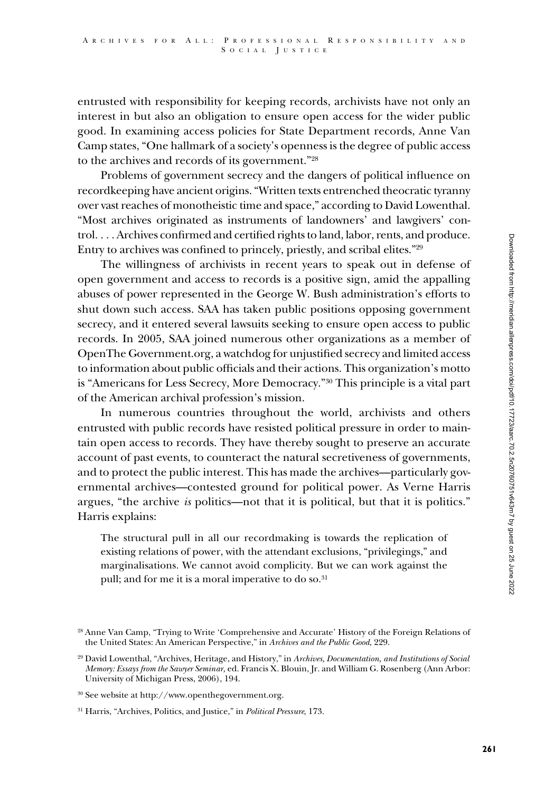entrusted with responsibility for keeping records, archivists have not only an interest in but also an obligation to ensure open access for the wider public good. In examining access policies for State Department records, Anne Van Camp states, "One hallmark of a society's openness is the degree of public access to the archives and records of its government."28

Problems of government secrecy and the dangers of political influence on recordkeeping have ancient origins. "Written texts entrenched theocratic tyranny over vast reaches of monotheistic time and space," according to David Lowenthal. "Most archives originated as instruments of landowners' and lawgivers' control. . . . Archives confirmed and certified rights to land, labor, rents, and produce. Entry to archives was confined to princely, priestly, and scribal elites."29

The willingness of archivists in recent years to speak out in defense of open government and access to records is a positive sign, amid the appalling abuses of power represented in the George W. Bush administration's efforts to shut down such access. SAA has taken public positions opposing government secrecy, and it entered several lawsuits seeking to ensure open access to public records. In 2005, SAA joined numerous other organizations as a member of OpenThe Government.org, a watchdog for unjustified secrecy and limited access to information about public officials and their actions. This organization's motto is "Americans for Less Secrecy, More Democracy."30 This principle is a vital part of the American archival profession's mission.

In numerous countries throughout the world, archivists and others entrusted with public records have resisted political pressure in order to maintain open access to records. They have thereby sought to preserve an accurate account of past events, to counteract the natural secretiveness of governments, and to protect the public interest. This has made the archives—particularly governmental archives—contested ground for political power. As Verne Harris argues, "the archive *is* politics—not that it is political, but that it is politics." Harris explains:

The structural pull in all our recordmaking is towards the replication of existing relations of power, with the attendant exclusions, "privilegings," and marginalisations. We cannot avoid complicity. But we can work against the pull; and for me it is a moral imperative to do so.<sup>31</sup>

<sup>28</sup> Anne Van Camp, "Trying to Write 'Comprehensive and Accurate' History of the Foreign Relations of the United States: An American Perspective," in *Archives and the Public Good*, 229.

<sup>29</sup> David Lowenthal, "Archives, Heritage, and History," in *Archives, Documentation, and Institutions of Social Memory: Essays from the Sawyer Seminar,* ed. Francis X. Blouin, Jr. and William G. Rosenberg (Ann Arbor: University of Michigan Press, 2006), 194.

<sup>30</sup> See website at http://www.openthegovernment.org.

<sup>31</sup> Harris, "Archives, Politics, and Justice," in *Political Pressure*, 173.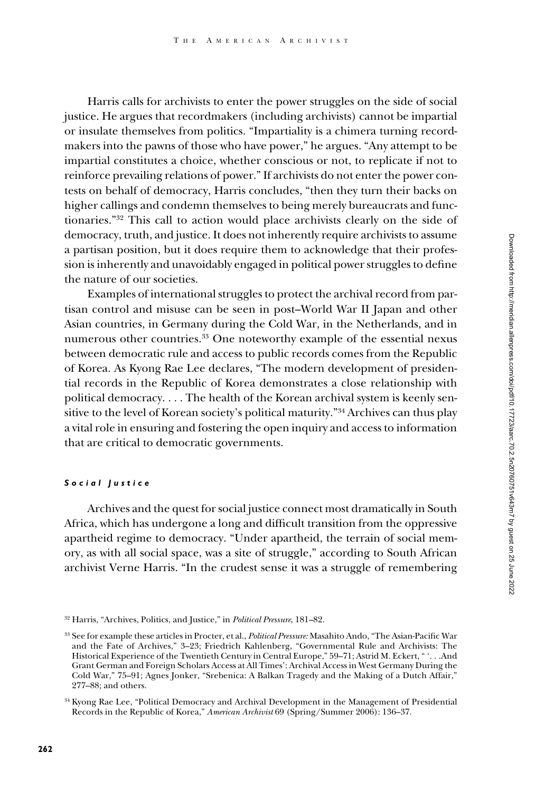Harris calls for archivists to enter the power struggles on the side of social justice. He argues that recordmakers (including archivists) cannot be impartial or insulate themselves from politics. "Impartiality is a chimera turning recordmakers into the pawns of those who have power," he argues. "Any attempt to be impartial constitutes a choice, whether conscious or not, to replicate if not to reinforce prevailing relations of power." If archivists do not enter the power contests on behalf of democracy, Harris concludes, "then they turn their backs on higher callings and condemn themselves to being merely bureaucrats and functionaries."32 This call to action would place archivists clearly on the side of democracy, truth, and justice. It does not inherently require archivists to assume a partisan position, but it does require them to acknowledge that their profession is inherently and unavoidably engaged in political power struggles to define the nature of our societies.

Examples of international struggles to protect the archival record from partisan control and misuse can be seen in post–World War II Japan and other Asian countries, in Germany during the Cold War, in the Netherlands, and in numerous other countries.<sup>33</sup> One noteworthy example of the essential nexus between democratic rule and access to public records comes from the Republic of Korea. As Kyong Rae Lee declares, "The modern development of presidential records in the Republic of Korea demonstrates a close relationship with political democracy. . . . The health of the Korean archival system is keenly sensitive to the level of Korean society's political maturity."34 Archives can thus play a vital role in ensuring and fostering the open inquiry and access to information that are critical to democratic governments.

#### *Social Justice*

Archives and the quest for social justice connect most dramatically in South Africa, which has undergone a long and difficult transition from the oppressive apartheid regime to democracy. "Under apartheid, the terrain of social memory, as with all social space, was a site of struggle," according to South African archivist Verne Harris. "In the crudest sense it was a struggle of remembering

<sup>32</sup> Harris, "Archives, Politics, and Justice," in *Political Pressure*, 181–82.

<sup>33</sup> See for example these articles in Procter, et al., *Political Pressure:* Masahito Ando, "The Asian-Pacific War and the Fate of Archives," 3–23; Friedrich Kahlenberg, "Governmental Rule and Archivists: The Historical Experience of the Twentieth Century in Central Europe," 59–71; Astrid M. Eckert, " '. . .And Grant German and Foreign Scholars Access at All Times': Archival Access in West Germany During the Cold War," 75–91; Agnes Jonker, "Srebenica: A Balkan Tragedy and the Making of a Dutch Affair," 277–88; and others.

<sup>34</sup> Kyong Rae Lee, "Political Democracy and Archival Development in the Management of Presidential Records in the Republic of Korea," *American Archivist* 69 (Spring/Summer 2006): 136–37.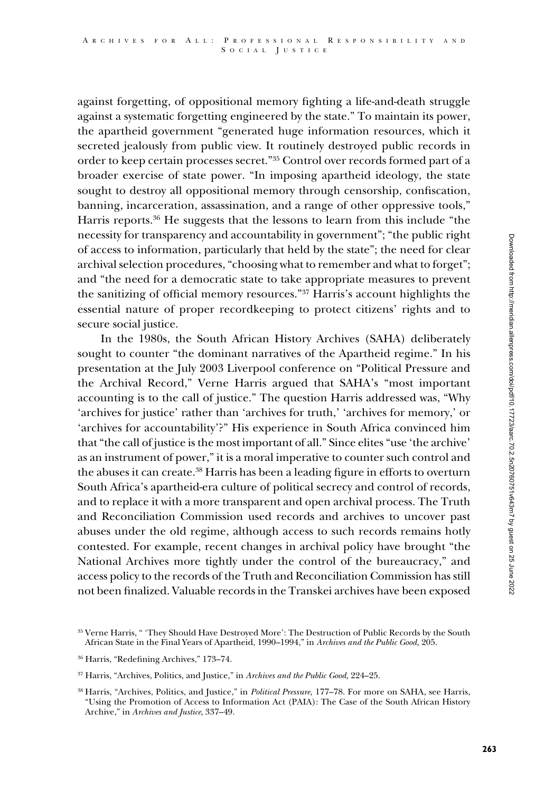against forgetting, of oppositional memory fighting a life-and-death struggle against a systematic forgetting engineered by the state." To maintain its power, the apartheid government "generated huge information resources, which it secreted jealously from public view. It routinely destroyed public records in order to keep certain processes secret."35 Control over records formed part of a broader exercise of state power. "In imposing apartheid ideology, the state sought to destroy all oppositional memory through censorship, confiscation, banning, incarceration, assassination, and a range of other oppressive tools," Harris reports.36 He suggests that the lessons to learn from this include "the necessity for transparency and accountability in government"; "the public right of access to information, particularly that held by the state"; the need for clear archival selection procedures, "choosing what to remember and what to forget"; and "the need for a democratic state to take appropriate measures to prevent the sanitizing of official memory resources."37 Harris's account highlights the essential nature of proper recordkeeping to protect citizens' rights and to secure social justice.

In the 1980s, the South African History Archives (SAHA) deliberately sought to counter "the dominant narratives of the Apartheid regime." In his presentation at the July 2003 Liverpool conference on "Political Pressure and the Archival Record," Verne Harris argued that SAHA's "most important accounting is to the call of justice." The question Harris addressed was, "Why 'archives for justice' rather than 'archives for truth,' 'archives for memory,' or 'archives for accountability'?" His experience in South Africa convinced him that "the call of justice is the most important of all." Since elites "use 'the archive' as an instrument of power," it is a moral imperative to counter such control and the abuses it can create.38 Harris has been a leading figure in efforts to overturn South Africa's apartheid-era culture of political secrecy and control of records, and to replace it with a more transparent and open archival process. The Truth and Reconciliation Commission used records and archives to uncover past abuses under the old regime, although access to such records remains hotly contested. For example, recent changes in archival policy have brought "the National Archives more tightly under the control of the bureaucracy," and access policy to the records of the Truth and Reconciliation Commission has still not been finalized. Valuable records in the Transkei archives have been exposed

<sup>35</sup> Verne Harris, " 'They Should Have Destroyed More': The Destruction of Public Records by the South African State in the Final Years of Apartheid, 1990–1994," in *Archives and the Public Good,* 205.

<sup>36</sup> Harris, "Redefining Archives," 173–74.

<sup>37</sup> Harris, "Archives, Politics, and Justice," in *Archives and the Public Good,* 224–25.

<sup>38</sup> Harris, "Archives, Politics, and Justice," in *Political Pressure,* 177–78. For more on SAHA, see Harris, "Using the Promotion of Access to Information Act (PAIA): The Case of the South African History Archive," in *Archives and Justice*, 337–49.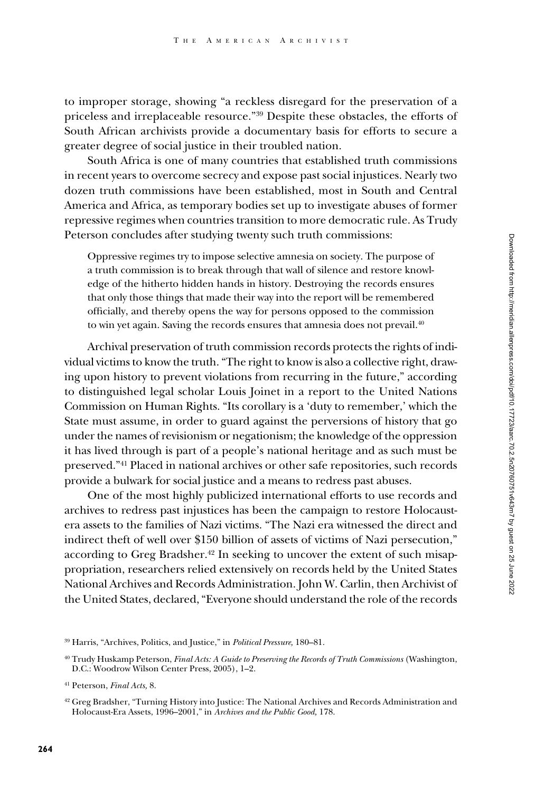to improper storage, showing "a reckless disregard for the preservation of a priceless and irreplaceable resource."39 Despite these obstacles, the efforts of South African archivists provide a documentary basis for efforts to secure a greater degree of social justice in their troubled nation.

South Africa is one of many countries that established truth commissions in recent years to overcome secrecy and expose past social injustices. Nearly two dozen truth commissions have been established, most in South and Central America and Africa, as temporary bodies set up to investigate abuses of former repressive regimes when countries transition to more democratic rule. As Trudy Peterson concludes after studying twenty such truth commissions:

Oppressive regimes try to impose selective amnesia on society. The purpose of a truth commission is to break through that wall of silence and restore knowledge of the hitherto hidden hands in history. Destroying the records ensures that only those things that made their way into the report will be remembered officially, and thereby opens the way for persons opposed to the commission to win yet again. Saving the records ensures that amnesia does not prevail.<sup>40</sup>

Archival preservation of truth commission records protects the rights of individual victims to know the truth. "The right to know is also a collective right, drawing upon history to prevent violations from recurring in the future," according to distinguished legal scholar Louis Joinet in a report to the United Nations Commission on Human Rights. "Its corollary is a 'duty to remember,' which the State must assume, in order to guard against the perversions of history that go under the names of revisionism or negationism; the knowledge of the oppression it has lived through is part of a people's national heritage and as such must be preserved."41 Placed in national archives or other safe repositories, such records provide a bulwark for social justice and a means to redress past abuses.

One of the most highly publicized international efforts to use records and archives to redress past injustices has been the campaign to restore Holocaustera assets to the families of Nazi victims. "The Nazi era witnessed the direct and indirect theft of well over \$150 billion of assets of victims of Nazi persecution," according to Greg Bradsher.<sup>42</sup> In seeking to uncover the extent of such misappropriation, researchers relied extensively on records held by the United States National Archives and Records Administration. John W. Carlin, then Archivist of the United States, declared, "Everyone should understand the role of the records

<sup>39</sup> Harris, "Archives, Politics, and Justice," in *Political Pressure,* 180–81.

<sup>40</sup> Trudy Huskamp Peterson, *Final Acts: A Guide to Preserving the Records of Truth Commissions* (Washington, D.C.: Woodrow Wilson Center Press, 2005), 1–2.

<sup>41</sup> Peterson, *Final Acts,* 8.

<sup>&</sup>lt;sup>42</sup> Greg Bradsher, "Turning History into Justice: The National Archives and Records Administration and Holocaust-Era Assets, 1996–2001," in *Archives and the Public Good,* 178.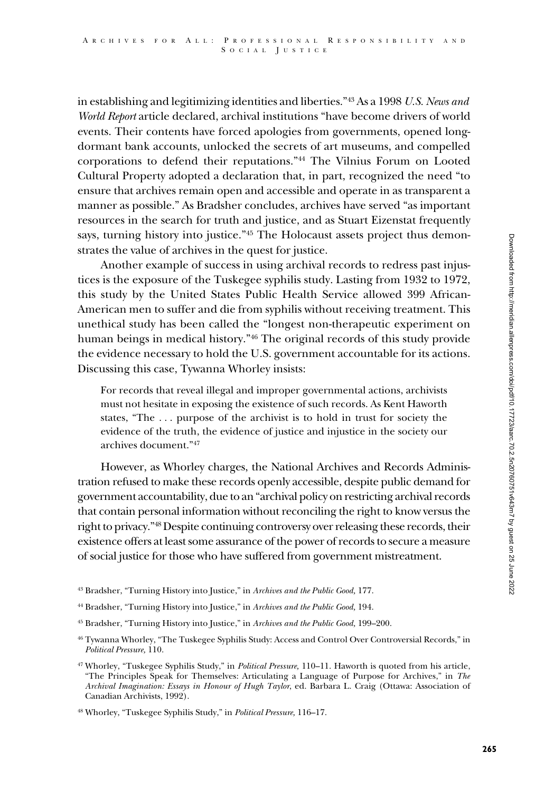in establishing and legitimizing identities and liberties."43 As a 1998 *U.S. News and World Report* article declared, archival institutions "have become drivers of world events. Their contents have forced apologies from governments, opened longdormant bank accounts, unlocked the secrets of art museums, and compelled corporations to defend their reputations."44 The Vilnius Forum on Looted Cultural Property adopted a declaration that, in part, recognized the need "to ensure that archives remain open and accessible and operate in as transparent a manner as possible." As Bradsher concludes, archives have served "as important resources in the search for truth and justice, and as Stuart Eizenstat frequently says, turning history into justice."<sup>45</sup> The Holocaust assets project thus demonstrates the value of archives in the quest for justice.

Another example of success in using archival records to redress past injustices is the exposure of the Tuskegee syphilis study. Lasting from 1932 to 1972, this study by the United States Public Health Service allowed 399 African-American men to suffer and die from syphilis without receiving treatment. This unethical study has been called the "longest non-therapeutic experiment on human beings in medical history."46 The original records of this study provide the evidence necessary to hold the U.S. government accountable for its actions. Discussing this case, Tywanna Whorley insists:

For records that reveal illegal and improper governmental actions, archivists must not hesitate in exposing the existence of such records. As Kent Haworth states, "The . . . purpose of the archivist is to hold in trust for society the evidence of the truth, the evidence of justice and injustice in the society our archives document."47

However, as Whorley charges, the National Archives and Records Administration refused to make these records openly accessible, despite public demand for government accountability, due to an "archival policy on restricting archival records that contain personal information without reconciling the right to know versus the right to privacy."48 Despite continuing controversy over releasing these records, their existence offers at least some assurance of the power of records to secure a measure of social justice for those who have suffered from government mistreatment.

- <sup>43</sup> Bradsher, "Turning History into Justice," in *Archives and the Public Good,* 177.
- <sup>44</sup> Bradsher, "Turning History into Justice," in *Archives and the Public Good,* 194.
- <sup>45</sup> Bradsher, "Turning History into Justice," in *Archives and the Public Good,* 199–200.
- <sup>46</sup> Tywanna Whorley, "The Tuskegee Syphilis Study: Access and Control Over Controversial Records," in *Political Pressure,* 110.

<sup>47</sup> Whorley, "Tuskegee Syphilis Study," in *Political Pressure,* 110–11. Haworth is quoted from his article, "The Principles Speak for Themselves: Articulating a Language of Purpose for Archives," in *The Archival Imagination: Essays in Honour of Hugh Taylor*, ed. Barbara L. Craig (Ottawa: Association of Canadian Archivists, 1992).

<sup>48</sup> Whorley, "Tuskegee Syphilis Study," in *Political Pressure,* 116–17.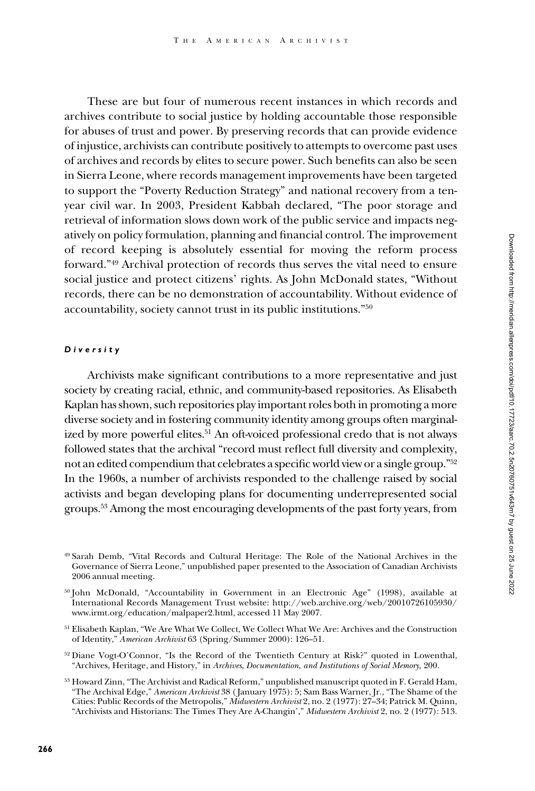These are but four of numerous recent instances in which records and archives contribute to social justice by holding accountable those responsible for abuses of trust and power. By preserving records that can provide evidence of injustice, archivists can contribute positively to attempts to overcome past uses of archives and records by elites to secure power. Such benefits can also be seen in Sierra Leone, where records management improvements have been targeted to support the "Poverty Reduction Strategy" and national recovery from a tenyear civil war. In 2003, President Kabbah declared, "The poor storage and retrieval of information slows down work of the public service and impacts negatively on policy formulation, planning and financial control. The improvement of record keeping is absolutely essential for moving the reform process forward."49 Archival protection of records thus serves the vital need to ensure social justice and protect citizens' rights. As John McDonald states, "Without records, there can be no demonstration of accountability. Without evidence of accountability, society cannot trust in its public institutions."50

#### *Diversity*

Archivists make significant contributions to a more representative and just society by creating racial, ethnic, and community-based repositories. As Elisabeth Kaplan has shown, such repositories play important roles both in promoting a more diverse society and in fostering community identity among groups often marginalized by more powerful elites.<sup>51</sup> An oft-voiced professional credo that is not always followed states that the archival "record must reflect full diversity and complexity, not an edited compendium that celebrates a specific world view or a single group."<sup>52</sup> In the 1960s, a number of archivists responded to the challenge raised by social activists and began developing plans for documenting underrepresented social groups.53 Among the most encouraging developments of the past forty years, from

<sup>49</sup> Sarah Demb, "Vital Records and Cultural Heritage: The Role of the National Archives in the Governance of Sierra Leone," unpublished paper presented to the Association of Canadian Archivists 2006 annual meeting.

<sup>&</sup>lt;sup>50</sup> John McDonald, "Accountability in Government in an Electronic Age" (1998), available at International Records Management Trust website: http://web.archive.org/web/20010726105930/ www.irmt.org/education/malpaper2.html, accessed 11 May 2007.

<sup>51</sup> Elisabeth Kaplan, "We Are What We Collect, We Collect What We Are: Archives and the Construction of Identity," *American Archivist* 63 (Spring/Summer 2000): 126–51.

<sup>&</sup>lt;sup>52</sup> Diane Vogt-O'Connor, "Is the Record of the Twentieth Century at Risk?" quoted in Lowenthal, "Archives, Heritage, and History," in *Archives, Documentation, and Institutions of Social Memory,* 200.

<sup>53</sup> Howard Zinn, "The Archivist and Radical Reform," unpublished manuscript quoted in F. Gerald Ham, "The Archival Edge," *American Archivist* 38 ( January 1975): 5; Sam Bass Warner, Jr., "The Shame of the Cities: Public Records of the Metropolis," *Midwestern Archivist* 2, no. 2 (1977): 27–34; Patrick M. Quinn, "Archivists and Historians: The Times They Are A-Changin'," *Midwestern Archivist* 2, no. 2 (1977): 513.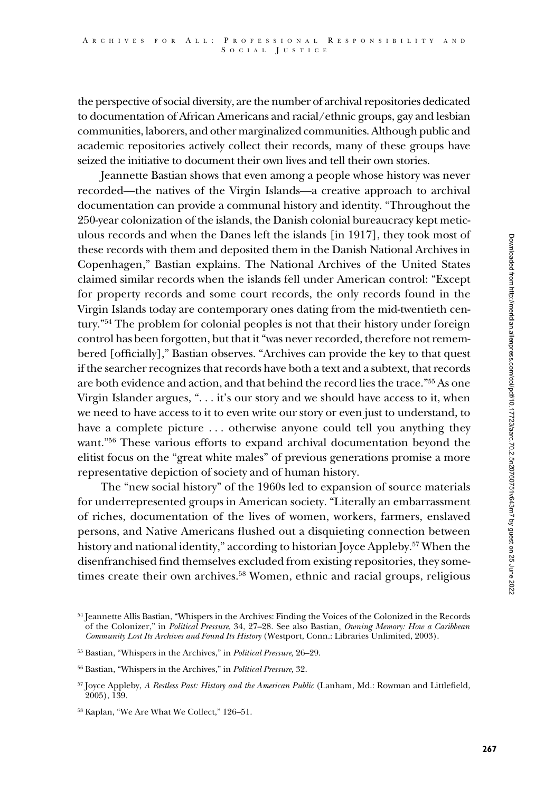the perspective of social diversity, are the number of archival repositories dedicated to documentation of African Americans and racial/ethnic groups, gay and lesbian communities, laborers, and other marginalized communities. Although public and academic repositories actively collect their records, many of these groups have seized the initiative to document their own lives and tell their own stories.

Jeannette Bastian shows that even among a people whose history was never recorded—the natives of the Virgin Islands—a creative approach to archival documentation can provide a communal history and identity. "Throughout the 250-year colonization of the islands, the Danish colonial bureaucracy kept meticulous records and when the Danes left the islands [in 1917], they took most of these records with them and deposited them in the Danish National Archives in Copenhagen," Bastian explains. The National Archives of the United States claimed similar records when the islands fell under American control: "Except for property records and some court records, the only records found in the Virgin Islands today are contemporary ones dating from the mid-twentieth century."54 The problem for colonial peoples is not that their history under foreign control has been forgotten, but that it "was never recorded, therefore not remembered [officially]," Bastian observes. "Archives can provide the key to that quest if the searcher recognizes that records have both a text and a subtext, that records are both evidence and action, and that behind the record lies the trace."55 As one Virgin Islander argues, ". . . it's our story and we should have access to it, when we need to have access to it to even write our story or even just to understand, to have a complete picture ... otherwise anyone could tell you anything they want."56 These various efforts to expand archival documentation beyond the elitist focus on the "great white males" of previous generations promise a more representative depiction of society and of human history.

The "new social history" of the 1960s led to expansion of source materials for underrepresented groups in American society. "Literally an embarrassment of riches, documentation of the lives of women, workers, farmers, enslaved persons, and Native Americans flushed out a disquieting connection between history and national identity," according to historian Joyce Appleby.57 When the disenfranchised find themselves excluded from existing repositories, they sometimes create their own archives.<sup>58</sup> Women, ethnic and racial groups, religious

<sup>54</sup> Jeannette Allis Bastian, "Whispers in the Archives: Finding the Voices of the Colonized in the Records of the Colonizer," in *Political Pressure,* 34, 27–28. See also Bastian, *Owning Memory: How a Caribbean Community Lost Its Archives and Found Its History* (Westport, Conn.: Libraries Unlimited, 2003).

<sup>55</sup> Bastian, "Whispers in the Archives," in *Political Pressure,* 26–29.

<sup>56</sup> Bastian, "Whispers in the Archives," in *Political Pressure,* 32.

<sup>57</sup> Joyce Appleby, *A Restless Past: History and the American Public* (Lanham, Md.: Rowman and Littlefield, 2005), 139.

<sup>58</sup> Kaplan, "We Are What We Collect," 126–51.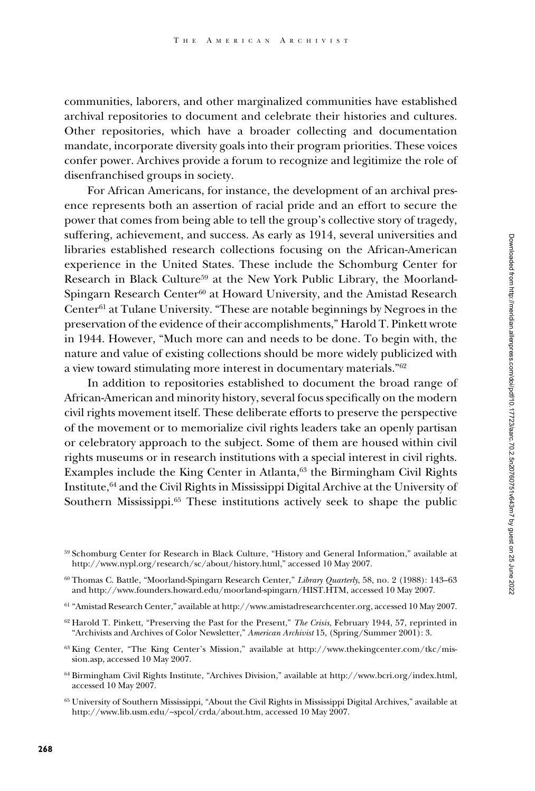communities, laborers, and other marginalized communities have established archival repositories to document and celebrate their histories and cultures. Other repositories, which have a broader collecting and documentation mandate, incorporate diversity goals into their program priorities. These voices confer power. Archives provide a forum to recognize and legitimize the role of disenfranchised groups in society.

For African Americans, for instance, the development of an archival presence represents both an assertion of racial pride and an effort to secure the power that comes from being able to tell the group's collective story of tragedy, suffering, achievement, and success. As early as 1914, several universities and libraries established research collections focusing on the African-American experience in the United States. These include the Schomburg Center for Research in Black Culture<sup>59</sup> at the New York Public Library, the Moorland-Spingarn Research Center<sup>60</sup> at Howard University, and the Amistad Research Center<sup>61</sup> at Tulane University. "These are notable beginnings by Negroes in the preservation of the evidence of their accomplishments," Harold T. Pinkett wrote in 1944. However, "Much more can and needs to be done. To begin with, the nature and value of existing collections should be more widely publicized with a view toward stimulating more interest in documentary materials."62

In addition to repositories established to document the broad range of African-American and minority history, several focus specifically on the modern civil rights movement itself. These deliberate efforts to preserve the perspective of the movement or to memorialize civil rights leaders take an openly partisan or celebratory approach to the subject. Some of them are housed within civil rights museums or in research institutions with a special interest in civil rights. Examples include the King Center in Atlanta,<sup>63</sup> the Birmingham Civil Rights Institute,64 and the Civil Rights in Mississippi Digital Archive at the University of Southern Mississippi.65 These institutions actively seek to shape the public

<sup>59</sup> Schomburg Center for Research in Black Culture, "History and General Information," available at http://www.nypl.org/research/sc/about/history.html," accessed 10 May 2007.

<sup>60</sup> Thomas C. Battle, "Moorland-Spingarn Research Center," *Library Quarterly*, 58, no. 2 (1988): 143–63 and http://www.founders.howard.edu/moorland-spingarn/HIST.HTM, accessed 10 May 2007.

<sup>61</sup> "Amistad Research Center," available at http://www.amistadresearchcenter.org, accessed 10 May 2007.

<sup>62</sup> Harold T. Pinkett, "Preserving the Past for the Present," *The Crisis*, February 1944, 57, reprinted in "Archivists and Archives of Color Newsletter," *American Archivist* 15, (Spring/Summer 2001): 3.

<sup>63</sup> King Center, "The King Center's Mission," available at http://www.thekingcenter.com/tkc/mission.asp, accessed 10 May 2007.

<sup>64</sup> Birmingham Civil Rights Institute, "Archives Division," available at http://www.bcri.org/index.html, accessed 10 May 2007.

<sup>65</sup> University of Southern Mississippi, "About the Civil Rights in Mississippi Digital Archives," available at http://www.lib.usm.edu/~spcol/crda/about.htm, accessed 10 May 2007.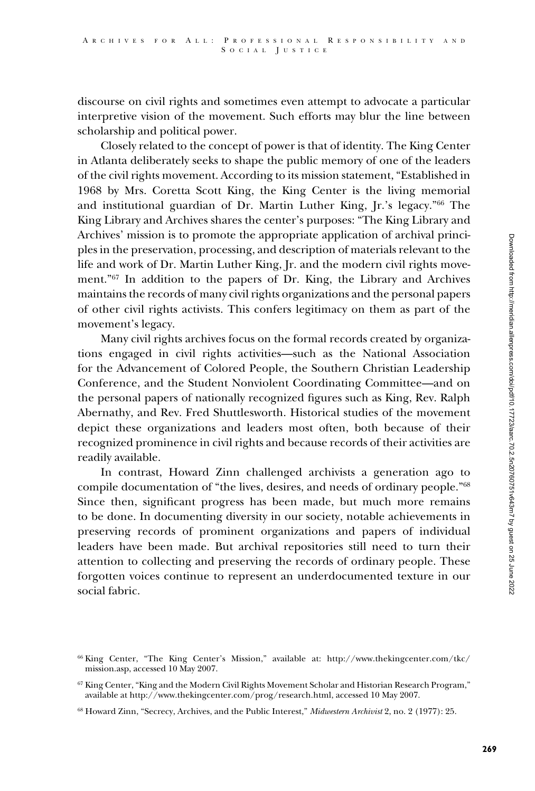discourse on civil rights and sometimes even attempt to advocate a particular interpretive vision of the movement. Such efforts may blur the line between scholarship and political power.

Closely related to the concept of power is that of identity. The King Center in Atlanta deliberately seeks to shape the public memory of one of the leaders of the civil rights movement. According to its mission statement, "Established in 1968 by Mrs. Coretta Scott King, the King Center is the living memorial and institutional guardian of Dr. Martin Luther King, Jr.'s legacy."66 The King Library and Archives shares the center's purposes: "The King Library and Archives' mission is to promote the appropriate application of archival principles in the preservation, processing, and description of materials relevant to the life and work of Dr. Martin Luther King, Jr. and the modern civil rights movement."67 In addition to the papers of Dr. King, the Library and Archives maintains the records of many civil rights organizations and the personal papers of other civil rights activists. This confers legitimacy on them as part of the movement's legacy.

Many civil rights archives focus on the formal records created by organizations engaged in civil rights activities—such as the National Association for the Advancement of Colored People, the Southern Christian Leadership Conference, and the Student Nonviolent Coordinating Committee—and on the personal papers of nationally recognized figures such as King, Rev. Ralph Abernathy, and Rev. Fred Shuttlesworth. Historical studies of the movement depict these organizations and leaders most often, both because of their recognized prominence in civil rights and because records of their activities are readily available.

In contrast, Howard Zinn challenged archivists a generation ago to compile documentation of "the lives, desires, and needs of ordinary people."68 Since then, significant progress has been made, but much more remains to be done. In documenting diversity in our society, notable achievements in preserving records of prominent organizations and papers of individual leaders have been made. But archival repositories still need to turn their attention to collecting and preserving the records of ordinary people. These forgotten voices continue to represent an underdocumented texture in our social fabric.

<sup>66</sup> King Center, "The King Center's Mission," available at: http://www.thekingcenter.com/tkc/ mission.asp, accessed 10 May 2007.

<sup>&</sup>lt;sup>67</sup> King Center, "King and the Modern Civil Rights Movement Scholar and Historian Research Program," available at http://www.thekingcenter.com/prog/research.html, accessed 10 May 2007.

<sup>68</sup> Howard Zinn, "Secrecy, Archives, and the Public Interest," *Midwestern Archivist* 2, no. 2 (1977): 25.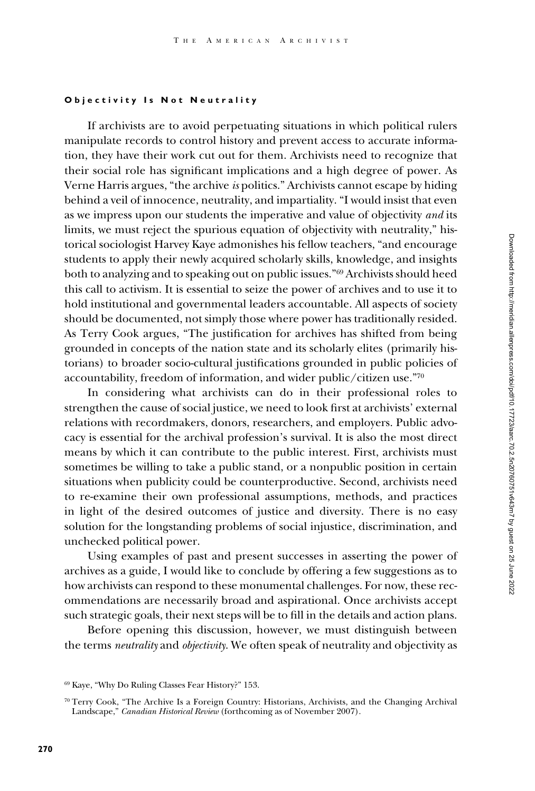#### **Objectivity Is Not Neutrality**

If archivists are to avoid perpetuating situations in which political rulers manipulate records to control history and prevent access to accurate information, they have their work cut out for them. Archivists need to recognize that their social role has significant implications and a high degree of power. As Verne Harris argues, "the archive *is* politics." Archivists cannot escape by hiding behind a veil of innocence, neutrality, and impartiality. "I would insist that even as we impress upon our students the imperative and value of objectivity *and* its limits, we must reject the spurious equation of objectivity with neutrality," historical sociologist Harvey Kaye admonishes his fellow teachers, "and encourage students to apply their newly acquired scholarly skills, knowledge, and insights both to analyzing and to speaking out on public issues."<sup>69</sup> Archivists should heed this call to activism. It is essential to seize the power of archives and to use it to hold institutional and governmental leaders accountable. All aspects of society should be documented, not simply those where power has traditionally resided. As Terry Cook argues, "The justification for archives has shifted from being grounded in concepts of the nation state and its scholarly elites (primarily historians) to broader socio-cultural justifications grounded in public policies of accountability, freedom of information, and wider public/citizen use."70

In considering what archivists can do in their professional roles to strengthen the cause of social justice, we need to look first at archivists' external relations with recordmakers, donors, researchers, and employers. Public advocacy is essential for the archival profession's survival. It is also the most direct means by which it can contribute to the public interest. First, archivists must sometimes be willing to take a public stand, or a nonpublic position in certain situations when publicity could be counterproductive. Second, archivists need to re-examine their own professional assumptions, methods, and practices in light of the desired outcomes of justice and diversity. There is no easy solution for the longstanding problems of social injustice, discrimination, and unchecked political power.

Using examples of past and present successes in asserting the power of archives as a guide, I would like to conclude by offering a few suggestions as to how archivists can respond to these monumental challenges. For now, these recommendations are necessarily broad and aspirational. Once archivists accept such strategic goals, their next steps will be to fill in the details and action plans.

Before opening this discussion, however, we must distinguish between the terms *neutrality* and *objectivity*. We often speak of neutrality and objectivity as

<sup>69</sup> Kaye, "Why Do Ruling Classes Fear History?" 153.

<sup>70</sup> Terry Cook, "The Archive Is a Foreign Country: Historians, Archivists, and the Changing Archival Landscape," *Canadian Historical Review* (forthcoming as of November 2007).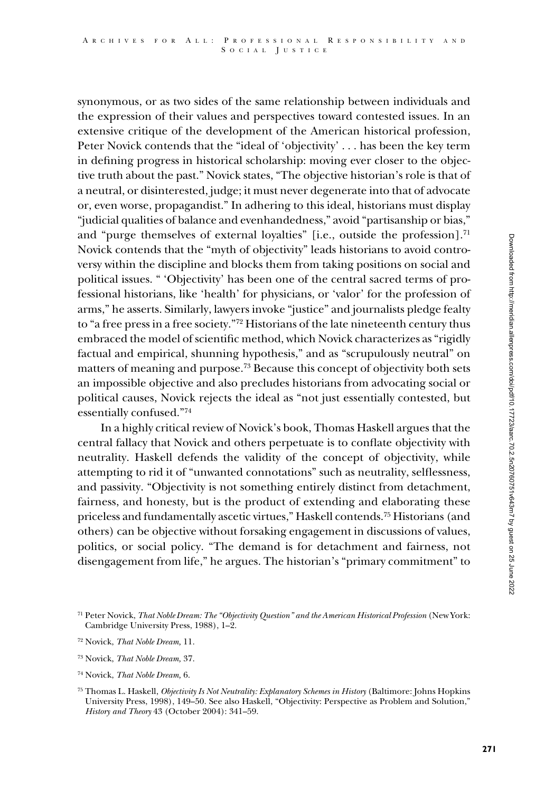synonymous, or as two sides of the same relationship between individuals and the expression of their values and perspectives toward contested issues. In an extensive critique of the development of the American historical profession, Peter Novick contends that the "ideal of 'objectivity' . . . has been the key term in defining progress in historical scholarship: moving ever closer to the objective truth about the past." Novick states, "The objective historian's role is that of a neutral, or disinterested, judge; it must never degenerate into that of advocate or, even worse, propagandist." In adhering to this ideal, historians must display "judicial qualities of balance and evenhandedness," avoid "partisanship or bias," and "purge themselves of external loyalties" [i.e., outside the profession].71 Novick contends that the "myth of objectivity" leads historians to avoid controversy within the discipline and blocks them from taking positions on social and political issues. " 'Objectivity' has been one of the central sacred terms of professional historians, like 'health' for physicians, or 'valor' for the profession of arms," he asserts. Similarly, lawyers invoke "justice" and journalists pledge fealty to "a free press in a free society."72 Historians of the late nineteenth century thus embraced the model of scientific method, which Novick characterizes as "rigidly factual and empirical, shunning hypothesis," and as "scrupulously neutral" on matters of meaning and purpose.73 Because this concept of objectivity both sets an impossible objective and also precludes historians from advocating social or political causes, Novick rejects the ideal as "not just essentially contested, but essentially confused."74

In a highly critical review of Novick's book, Thomas Haskell argues that the central fallacy that Novick and others perpetuate is to conflate objectivity with neutrality. Haskell defends the validity of the concept of objectivity, while attempting to rid it of "unwanted connotations" such as neutrality, selflessness, and passivity. "Objectivity is not something entirely distinct from detachment, fairness, and honesty, but is the product of extending and elaborating these priceless and fundamentally ascetic virtues," Haskell contends.75 Historians (and others) can be objective without forsaking engagement in discussions of values, politics, or social policy. "The demand is for detachment and fairness, not disengagement from life," he argues. The historian's "primary commitment" to

<sup>71</sup> Peter Novick, *That Noble Dream: The "Objectivity Question" and the American Historical Profession* (New York: Cambridge University Press, 1988), 1–2.

<sup>72</sup> Novick, *That Noble Dream,* 11.

<sup>73</sup> Novick, *That Noble Dream,* 37.

<sup>74</sup> Novick, *That Noble Dream,* 6.

<sup>75</sup> Thomas L. Haskell, *Objectivity Is Not Neutrality: Explanatory Schemes in History* (Baltimore: Johns Hopkins University Press, 1998), 149–50. See also Haskell, "Objectivity: Perspective as Problem and Solution," *History and Theory* 43 (October 2004): 341–59.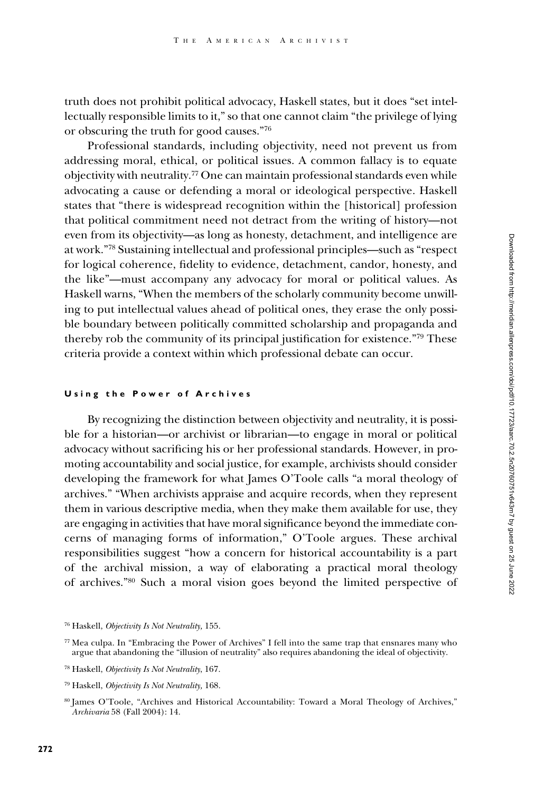truth does not prohibit political advocacy, Haskell states, but it does "set intellectually responsible limits to it," so that one cannot claim "the privilege of lying or obscuring the truth for good causes."76

Professional standards, including objectivity, need not prevent us from addressing moral, ethical, or political issues. A common fallacy is to equate objectivity with neutrality.<sup>77</sup> One can maintain professional standards even while advocating a cause or defending a moral or ideological perspective. Haskell states that "there is widespread recognition within the [historical] profession that political commitment need not detract from the writing of history—not even from its objectivity—as long as honesty, detachment, and intelligence are at work."78 Sustaining intellectual and professional principles—such as "respect for logical coherence, fidelity to evidence, detachment, candor, honesty, and the like"—must accompany any advocacy for moral or political values. As Haskell warns, "When the members of the scholarly community become unwilling to put intellectual values ahead of political ones, they erase the only possible boundary between politically committed scholarship and propaganda and thereby rob the community of its principal justification for existence."79 These criteria provide a context within which professional debate can occur.

## **Using the Power of Archives**

By recognizing the distinction between objectivity and neutrality, it is possible for a historian—or archivist or librarian—to engage in moral or political advocacy without sacrificing his or her professional standards. However, in promoting accountability and social justice, for example, archivists should consider developing the framework for what James O'Toole calls "a moral theology of archives." "When archivists appraise and acquire records, when they represent them in various descriptive media, when they make them available for use, they are engaging in activities that have moral significance beyond the immediate concerns of managing forms of information," O'Toole argues. These archival responsibilities suggest "how a concern for historical accountability is a part of the archival mission, a way of elaborating a practical moral theology of archives."80 Such a moral vision goes beyond the limited perspective of

<sup>76</sup> Haskell, *Objectivity Is Not Neutrality,* 155.

<sup>77</sup> Mea culpa. In "Embracing the Power of Archives" I fell into the same trap that ensnares many who argue that abandoning the "illusion of neutrality" also requires abandoning the ideal of objectivity.

<sup>78</sup> Haskell, *Objectivity Is Not Neutrality*, 167.

<sup>79</sup> Haskell, *Objectivity Is Not Neutrality,* 168.

<sup>80</sup> James O'Toole, "Archives and Historical Accountability: Toward a Moral Theology of Archives," *Archivaria* 58 (Fall 2004): 14.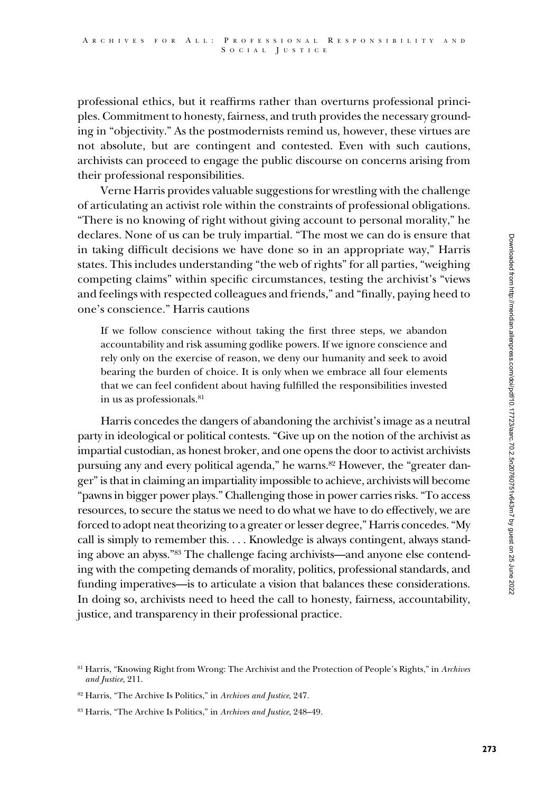professional ethics, but it reaffirms rather than overturns professional principles. Commitment to honesty, fairness, and truth provides the necessary grounding in "objectivity." As the postmodernists remind us, however, these virtues are not absolute, but are contingent and contested. Even with such cautions, archivists can proceed to engage the public discourse on concerns arising from their professional responsibilities.

Verne Harris provides valuable suggestions for wrestling with the challenge of articulating an activist role within the constraints of professional obligations. "There is no knowing of right without giving account to personal morality," he declares. None of us can be truly impartial. "The most we can do is ensure that in taking difficult decisions we have done so in an appropriate way," Harris states. This includes understanding "the web of rights" for all parties, "weighing competing claims" within specific circumstances, testing the archivist's "views and feelings with respected colleagues and friends," and "finally, paying heed to one's conscience." Harris cautions

If we follow conscience without taking the first three steps, we abandon accountability and risk assuming godlike powers. If we ignore conscience and rely only on the exercise of reason, we deny our humanity and seek to avoid bearing the burden of choice. It is only when we embrace all four elements that we can feel confident about having fulfilled the responsibilities invested in us as professionals.81

Harris concedes the dangers of abandoning the archivist's image as a neutral party in ideological or political contests. "Give up on the notion of the archivist as impartial custodian, as honest broker, and one opens the door to activist archivists pursuing any and every political agenda," he warns.<sup>82</sup> However, the "greater danger" is that in claiming an impartiality impossible to achieve, archivists will become "pawns in bigger power plays." Challenging those in power carries risks. "To access resources, to secure the status we need to do what we have to do effectively, we are forced to adopt neat theorizing to a greater or lesser degree," Harris concedes. "My call is simply to remember this. . . . Knowledge is always contingent, always standing above an abyss."83 The challenge facing archivists—and anyone else contending with the competing demands of morality, politics, professional standards, and funding imperatives—is to articulate a vision that balances these considerations. In doing so, archivists need to heed the call to honesty, fairness, accountability, justice, and transparency in their professional practice.

<sup>81</sup> Harris, "Knowing Right from Wrong: The Archivist and the Protection of People's Rights," in *Archives and Justice*, 211.

<sup>82</sup> Harris, "The Archive Is Politics," in *Archives and Justice*, 247.

<sup>83</sup> Harris, "The Archive Is Politics," in *Archives and Justice*, 248–49.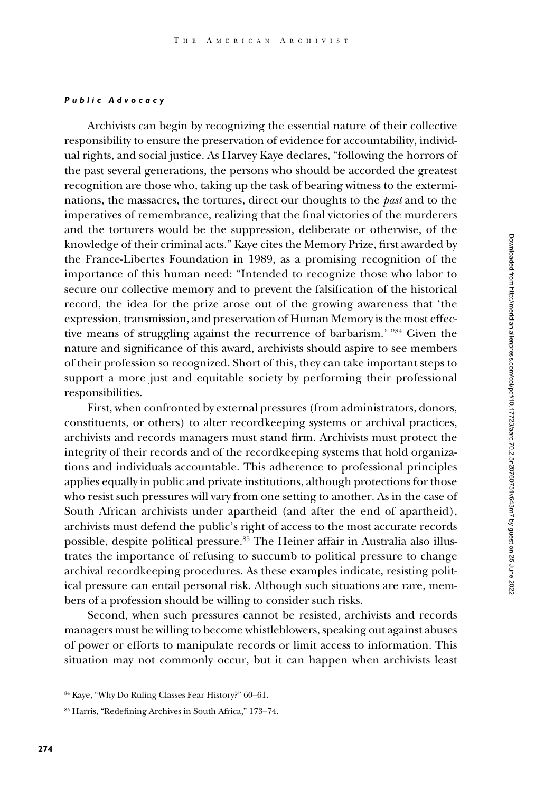### *Public Advocacy*

Archivists can begin by recognizing the essential nature of their collective responsibility to ensure the preservation of evidence for accountability, individual rights, and social justice. As Harvey Kaye declares, "following the horrors of the past several generations, the persons who should be accorded the greatest recognition are those who, taking up the task of bearing witness to the exterminations, the massacres, the tortures, direct our thoughts to the *past* and to the imperatives of remembrance, realizing that the final victories of the murderers and the torturers would be the suppression, deliberate or otherwise, of the knowledge of their criminal acts." Kaye cites the Memory Prize, first awarded by the France-Libertes Foundation in 1989, as a promising recognition of the importance of this human need: "Intended to recognize those who labor to secure our collective memory and to prevent the falsification of the historical record, the idea for the prize arose out of the growing awareness that 'the expression, transmission, and preservation of Human Memory is the most effective means of struggling against the recurrence of barbarism.' "84 Given the nature and significance of this award, archivists should aspire to see members of their profession so recognized. Short of this, they can take important steps to support a more just and equitable society by performing their professional responsibilities.

First, when confronted by external pressures (from administrators, donors, constituents, or others) to alter recordkeeping systems or archival practices, archivists and records managers must stand firm. Archivists must protect the integrity of their records and of the recordkeeping systems that hold organizations and individuals accountable. This adherence to professional principles applies equally in public and private institutions, although protections for those who resist such pressures will vary from one setting to another. As in the case of South African archivists under apartheid (and after the end of apartheid), archivists must defend the public's right of access to the most accurate records possible, despite political pressure.85 The Heiner affair in Australia also illustrates the importance of refusing to succumb to political pressure to change archival recordkeeping procedures. As these examples indicate, resisting political pressure can entail personal risk. Although such situations are rare, members of a profession should be willing to consider such risks.

Second, when such pressures cannot be resisted, archivists and records managers must be willing to become whistleblowers, speaking out against abuses of power or efforts to manipulate records or limit access to information. This situation may not commonly occur, but it can happen when archivists least

<sup>84</sup> Kaye, "Why Do Ruling Classes Fear History?" 60–61.

<sup>85</sup> Harris, "Redefining Archives in South Africa," 173–74.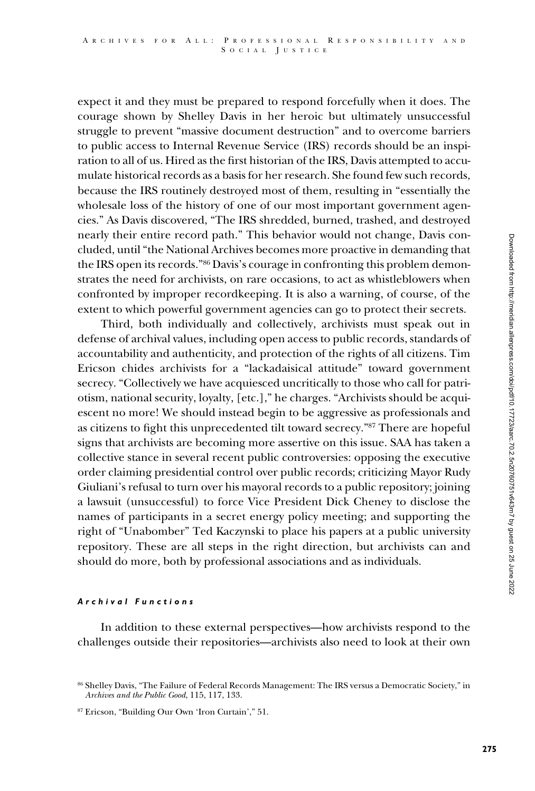expect it and they must be prepared to respond forcefully when it does. The courage shown by Shelley Davis in her heroic but ultimately unsuccessful struggle to prevent "massive document destruction" and to overcome barriers to public access to Internal Revenue Service (IRS) records should be an inspiration to all of us. Hired as the first historian of the IRS, Davis attempted to accumulate historical records as a basis for her research. She found few such records, because the IRS routinely destroyed most of them, resulting in "essentially the wholesale loss of the history of one of our most important government agencies." As Davis discovered, "The IRS shredded, burned, trashed, and destroyed nearly their entire record path." This behavior would not change, Davis concluded, until "the National Archives becomes more proactive in demanding that the IRS open its records."86 Davis's courage in confronting this problem demonstrates the need for archivists, on rare occasions, to act as whistleblowers when confronted by improper recordkeeping. It is also a warning, of course, of the extent to which powerful government agencies can go to protect their secrets.

Third, both individually and collectively, archivists must speak out in defense of archival values, including open access to public records, standards of accountability and authenticity, and protection of the rights of all citizens. Tim Ericson chides archivists for a "lackadaisical attitude" toward government secrecy. "Collectively we have acquiesced uncritically to those who call for patriotism, national security, loyalty, [etc.]," he charges. "Archivists should be acquiescent no more! We should instead begin to be aggressive as professionals and as citizens to fight this unprecedented tilt toward secrecy."87 There are hopeful signs that archivists are becoming more assertive on this issue. SAA has taken a collective stance in several recent public controversies: opposing the executive order claiming presidential control over public records; criticizing Mayor Rudy Giuliani's refusal to turn over his mayoral records to a public repository; joining a lawsuit (unsuccessful) to force Vice President Dick Cheney to disclose the names of participants in a secret energy policy meeting; and supporting the right of "Unabomber" Ted Kaczynski to place his papers at a public university repository. These are all steps in the right direction, but archivists can and should do more, both by professional associations and as individuals.

# *Archival Functions*

In addition to these external perspectives—how archivists respond to the challenges outside their repositories—archivists also need to look at their own

<sup>86</sup> Shelley Davis, "The Failure of Federal Records Management: The IRS versus a Democratic Society," in *Archives and the Public Good*, 115, 117, 133.

<sup>87</sup> Ericson, "Building Our Own 'Iron Curtain'," 51.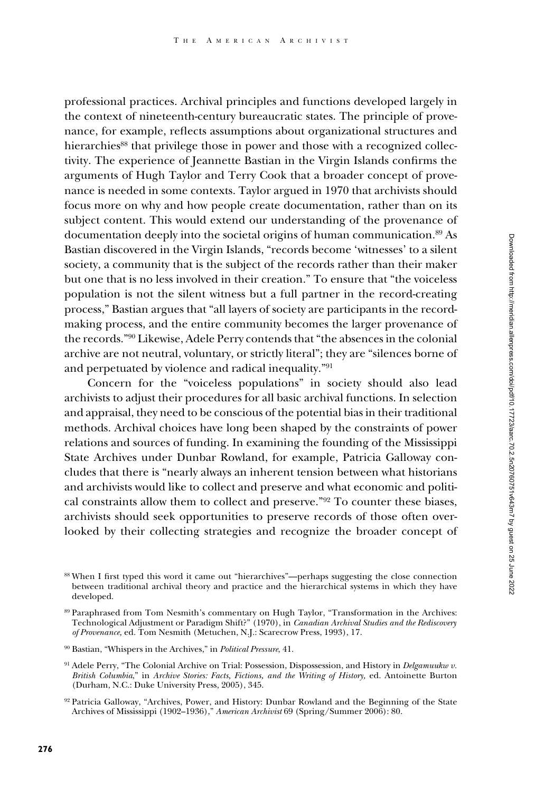professional practices. Archival principles and functions developed largely in the context of nineteenth-century bureaucratic states. The principle of provenance, for example, reflects assumptions about organizational structures and hierarchies<sup>88</sup> that privilege those in power and those with a recognized collectivity. The experience of Jeannette Bastian in the Virgin Islands confirms the arguments of Hugh Taylor and Terry Cook that a broader concept of provenance is needed in some contexts. Taylor argued in 1970 that archivists should focus more on why and how people create documentation, rather than on its subject content. This would extend our understanding of the provenance of documentation deeply into the societal origins of human communication.89 As Bastian discovered in the Virgin Islands, "records become 'witnesses' to a silent society, a community that is the subject of the records rather than their maker but one that is no less involved in their creation." To ensure that "the voiceless population is not the silent witness but a full partner in the record-creating process," Bastian argues that "all layers of society are participants in the recordmaking process, and the entire community becomes the larger provenance of the records."90 Likewise, Adele Perry contends that "the absences in the colonial archive are not neutral, voluntary, or strictly literal"; they are "silences borne of and perpetuated by violence and radical inequality."91

Concern for the "voiceless populations" in society should also lead archivists to adjust their procedures for all basic archival functions. In selection and appraisal, they need to be conscious of the potential bias in their traditional methods. Archival choices have long been shaped by the constraints of power relations and sources of funding. In examining the founding of the Mississippi State Archives under Dunbar Rowland, for example, Patricia Galloway concludes that there is "nearly always an inherent tension between what historians and archivists would like to collect and preserve and what economic and political constraints allow them to collect and preserve."92 To counter these biases, archivists should seek opportunities to preserve records of those often overlooked by their collecting strategies and recognize the broader concept of

<sup>88</sup> When I first typed this word it came out "hierarchives"—perhaps suggesting the close connection between traditional archival theory and practice and the hierarchical systems in which they have developed.

<sup>89</sup> Paraphrased from Tom Nesmith's commentary on Hugh Taylor, "Transformation in the Archives: Technological Adjustment or Paradigm Shift?" (1970), in *Canadian Archival Studies and the Rediscovery of Provenance,* ed. Tom Nesmith (Metuchen, N.J.: Scarecrow Press, 1993), 17.

<sup>90</sup> Bastian, "Whispers in the Archives," in *Political Pressure*, 41.

<sup>91</sup> Adele Perry, "The Colonial Archive on Trial: Possession, Dispossession, and History in *Delgamuukw v. British Columbia*," in *Archive Stories: Facts, Fictions, and the Writing of History,* ed. Antoinette Burton (Durham, N.C.: Duke University Press, 2005), 345.

 $^{92}$  Patricia Galloway, "Archives, Power, and History: Dunbar Rowland and the Beginning of the State Archives of Mississippi (1902–1936)," *American Archivist* 69 (Spring/Summer 2006): 80.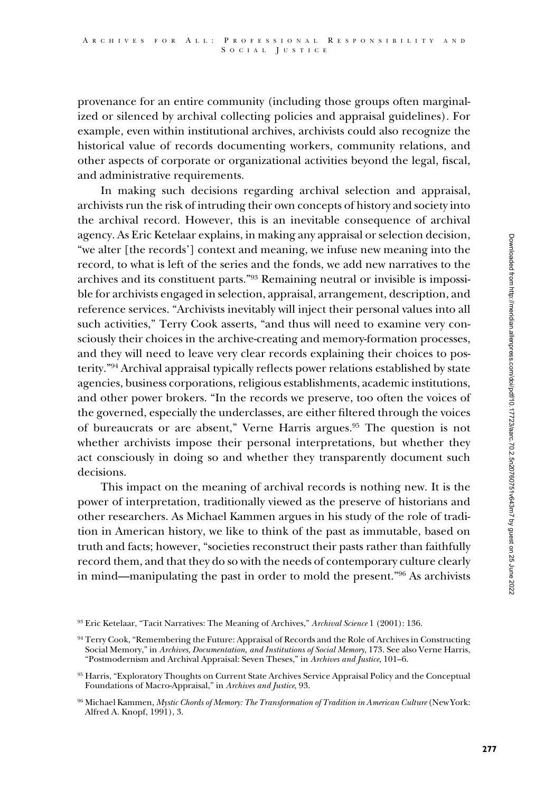provenance for an entire community (including those groups often marginalized or silenced by archival collecting policies and appraisal guidelines). For example, even within institutional archives, archivists could also recognize the historical value of records documenting workers, community relations, and other aspects of corporate or organizational activities beyond the legal, fiscal, and administrative requirements.

In making such decisions regarding archival selection and appraisal, archivists run the risk of intruding their own concepts of history and society into the archival record. However, this is an inevitable consequence of archival agency. As Eric Ketelaar explains, in making any appraisal or selection decision, "we alter [the records'] context and meaning, we infuse new meaning into the record, to what is left of the series and the fonds, we add new narratives to the archives and its constituent parts."93 Remaining neutral or invisible is impossible for archivists engaged in selection, appraisal, arrangement, description, and reference services. "Archivists inevitably will inject their personal values into all such activities," Terry Cook asserts, "and thus will need to examine very consciously their choices in the archive-creating and memory-formation processes, and they will need to leave very clear records explaining their choices to posterity."94 Archival appraisal typically reflects power relations established by state agencies, business corporations, religious establishments, academic institutions, and other power brokers. "In the records we preserve, too often the voices of the governed, especially the underclasses, are either filtered through the voices of bureaucrats or are absent," Verne Harris argues.95 The question is not whether archivists impose their personal interpretations, but whether they act consciously in doing so and whether they transparently document such decisions.

This impact on the meaning of archival records is nothing new. It is the power of interpretation, traditionally viewed as the preserve of historians and other researchers. As Michael Kammen argues in his study of the role of tradition in American history, we like to think of the past as immutable, based on truth and facts; however, "societies reconstruct their pasts rather than faithfully record them, and that they do so with the needs of contemporary culture clearly in mind—manipulating the past in order to mold the present."96 As archivists

<sup>93</sup> Eric Ketelaar, "Tacit Narratives: The Meaning of Archives," *Archival Science* 1 (2001): 136.

<sup>94</sup> Terry Cook, "Remembering the Future: Appraisal of Records and the Role of Archives in Constructing Social Memory," in *Archives, Documentation, and Institutions of Social Memory*, 173. See also Verne Harris, "Postmodernism and Archival Appraisal: Seven Theses," in *Archives and Justice*, 101–6.

<sup>&</sup>lt;sup>95</sup> Harris, "Exploratory Thoughts on Current State Archives Service Appraisal Policy and the Conceptual Foundations of Macro-Appraisal," in *Archives and Justice*, 93.

<sup>96</sup> Michael Kammen, *Mystic Chords of Memory: The Transformation of Tradition in American Culture* (New York: Alfred A. Knopf, 1991), 3.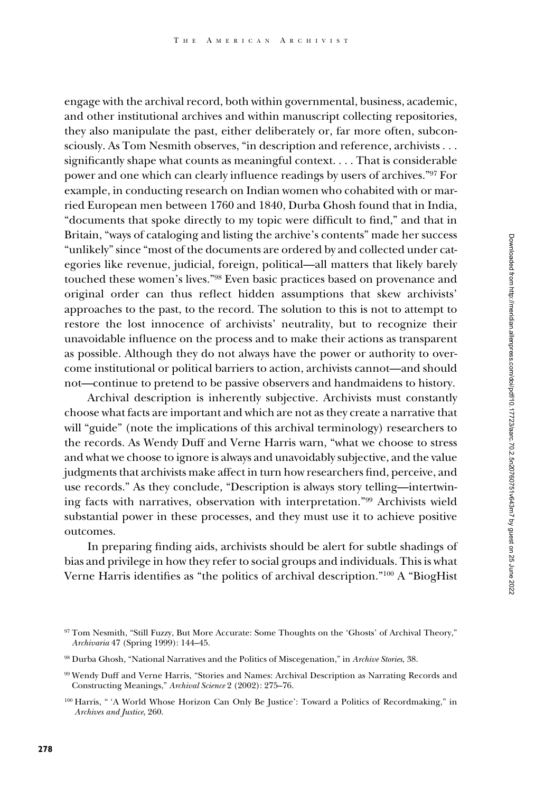engage with the archival record, both within governmental, business, academic, and other institutional archives and within manuscript collecting repositories, they also manipulate the past, either deliberately or, far more often, subconsciously. As Tom Nesmith observes, "in description and reference, archivists . . . significantly shape what counts as meaningful context. . . . That is considerable power and one which can clearly influence readings by users of archives."97 For example, in conducting research on Indian women who cohabited with or married European men between 1760 and 1840, Durba Ghosh found that in India, "documents that spoke directly to my topic were difficult to find," and that in Britain, "ways of cataloging and listing the archive's contents" made her success "unlikely" since "most of the documents are ordered by and collected under categories like revenue, judicial, foreign, political—all matters that likely barely touched these women's lives."98 Even basic practices based on provenance and original order can thus reflect hidden assumptions that skew archivists' approaches to the past, to the record. The solution to this is not to attempt to restore the lost innocence of archivists' neutrality, but to recognize their unavoidable influence on the process and to make their actions as transparent as possible. Although they do not always have the power or authority to overcome institutional or political barriers to action, archivists cannot—and should not—continue to pretend to be passive observers and handmaidens to history.

Archival description is inherently subjective. Archivists must constantly choose what facts are important and which are not as they create a narrative that will "guide" (note the implications of this archival terminology) researchers to the records. As Wendy Duff and Verne Harris warn, "what we choose to stress and what we choose to ignore is always and unavoidably subjective, and the value judgments that archivists make affect in turn how researchers find, perceive, and use records." As they conclude, "Description is always story telling—intertwining facts with narratives, observation with interpretation."99 Archivists wield substantial power in these processes, and they must use it to achieve positive outcomes.

In preparing finding aids, archivists should be alert for subtle shadings of bias and privilege in how they refer to social groups and individuals. This is what Verne Harris identifies as "the politics of archival description."100 A "BiogHist

<sup>97</sup> Tom Nesmith, "Still Fuzzy, But More Accurate: Some Thoughts on the 'Ghosts' of Archival Theory," *Archivaria* 47 (Spring 1999): 144–45.

<sup>98</sup> Durba Ghosh, "National Narratives and the Politics of Miscegenation," in *Archive Stories*, 38.

<sup>99</sup> Wendy Duff and Verne Harris, "Stories and Names: Archival Description as Narrating Records and Constructing Meanings," *Archival Science* 2 (2002): 275–76.

<sup>100</sup> Harris, " 'A World Whose Horizon Can Only Be Justice': Toward a Politics of Recordmaking," in *Archives and Justice*, 260.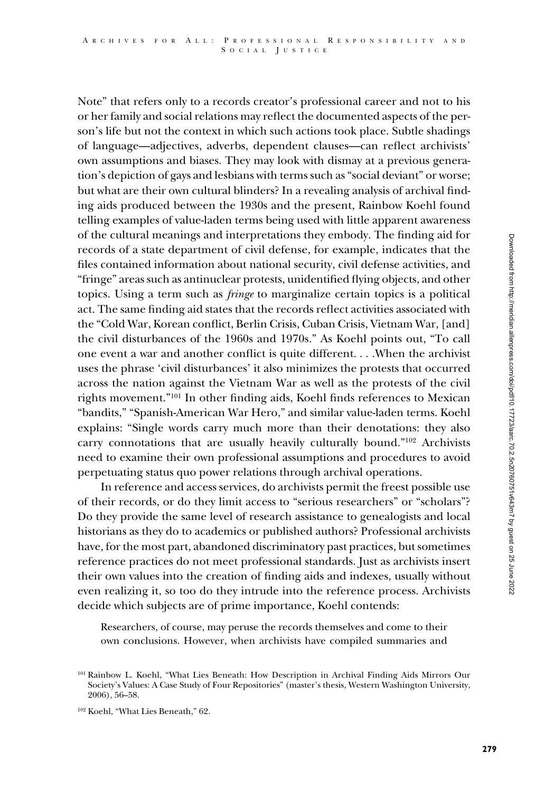Note" that refers only to a records creator's professional career and not to his or her family and social relations may reflect the documented aspects of the person's life but not the context in which such actions took place. Subtle shadings of language—adjectives, adverbs, dependent clauses—can reflect archivists' own assumptions and biases. They may look with dismay at a previous generation's depiction of gays and lesbians with terms such as "social deviant" or worse; but what are their own cultural blinders? In a revealing analysis of archival finding aids produced between the 1930s and the present, Rainbow Koehl found telling examples of value-laden terms being used with little apparent awareness of the cultural meanings and interpretations they embody. The finding aid for records of a state department of civil defense, for example, indicates that the files contained information about national security, civil defense activities, and "fringe" areas such as antinuclear protests, unidentified flying objects, and other topics. Using a term such as *fringe* to marginalize certain topics is a political act. The same finding aid states that the records reflect activities associated with the "Cold War, Korean conflict, Berlin Crisis, Cuban Crisis, Vietnam War, [and] the civil disturbances of the 1960s and 1970s." As Koehl points out, "To call one event a war and another conflict is quite different. . . .When the archivist uses the phrase 'civil disturbances' it also minimizes the protests that occurred across the nation against the Vietnam War as well as the protests of the civil rights movement."101 In other finding aids, Koehl finds references to Mexican "bandits," "Spanish-American War Hero," and similar value-laden terms. Koehl explains: "Single words carry much more than their denotations: they also carry connotations that are usually heavily culturally bound."102 Archivists need to examine their own professional assumptions and procedures to avoid perpetuating status quo power relations through archival operations.

In reference and access services, do archivists permit the freest possible use of their records, or do they limit access to "serious researchers" or "scholars"? Do they provide the same level of research assistance to genealogists and local historians as they do to academics or published authors? Professional archivists have, for the most part, abandoned discriminatory past practices, but sometimes reference practices do not meet professional standards. Just as archivists insert their own values into the creation of finding aids and indexes, usually without even realizing it, so too do they intrude into the reference process. Archivists decide which subjects are of prime importance, Koehl contends:

Researchers, of course, may peruse the records themselves and come to their own conclusions. However, when archivists have compiled summaries and

<sup>101</sup> Rainbow L. Koehl, "What Lies Beneath: How Description in Archival Finding Aids Mirrors Our Society's Values: A Case Study of Four Repositories" (master's thesis, Western Washington University, 2006), 56–58.

<sup>102</sup> Koehl, "What Lies Beneath," 62.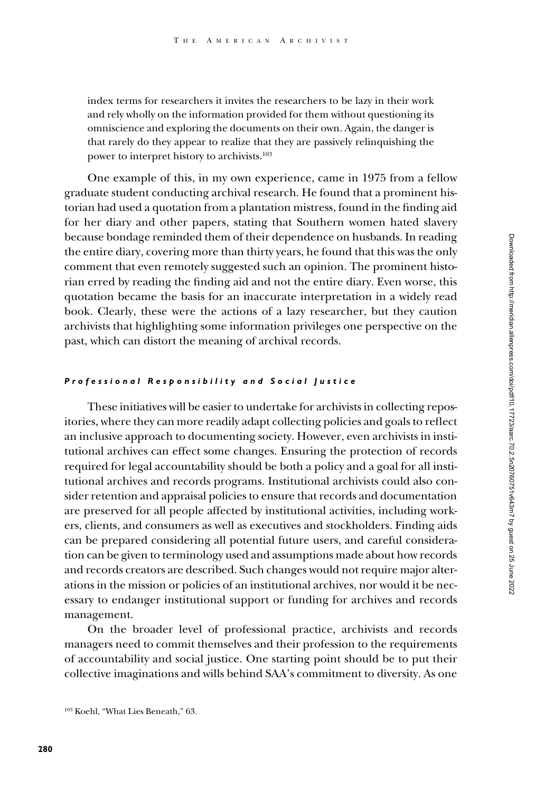index terms for researchers it invites the researchers to be lazy in their work and rely wholly on the information provided for them without questioning its omniscience and exploring the documents on their own. Again, the danger is that rarely do they appear to realize that they are passively relinquishing the power to interpret history to archivists.<sup>103</sup>

One example of this, in my own experience, came in 1975 from a fellow graduate student conducting archival research. He found that a prominent historian had used a quotation from a plantation mistress, found in the finding aid for her diary and other papers, stating that Southern women hated slavery because bondage reminded them of their dependence on husbands. In reading the entire diary, covering more than thirty years, he found that this was the only comment that even remotely suggested such an opinion. The prominent historian erred by reading the finding aid and not the entire diary. Even worse, this quotation became the basis for an inaccurate interpretation in a widely read book. Clearly, these were the actions of a lazy researcher, but they caution archivists that highlighting some information privileges one perspective on the past, which can distort the meaning of archival records.

# *Professional Responsibility and Social Justice*

These initiatives will be easier to undertake for archivists in collecting repositories, where they can more readily adapt collecting policies and goals to reflect an inclusive approach to documenting society. However, even archivists in institutional archives can effect some changes. Ensuring the protection of records required for legal accountability should be both a policy and a goal for all institutional archives and records programs. Institutional archivists could also consider retention and appraisal policies to ensure that records and documentation are preserved for all people affected by institutional activities, including workers, clients, and consumers as well as executives and stockholders. Finding aids can be prepared considering all potential future users, and careful consideration can be given to terminology used and assumptions made about how records and records creators are described. Such changes would not require major alterations in the mission or policies of an institutional archives, nor would it be necessary to endanger institutional support or funding for archives and records management.

On the broader level of professional practice, archivists and records managers need to commit themselves and their profession to the requirements of accountability and social justice. One starting point should be to put their collective imaginations and wills behind SAA's commitment to diversity. As one

<sup>103</sup> Koehl, "What Lies Beneath," 63.